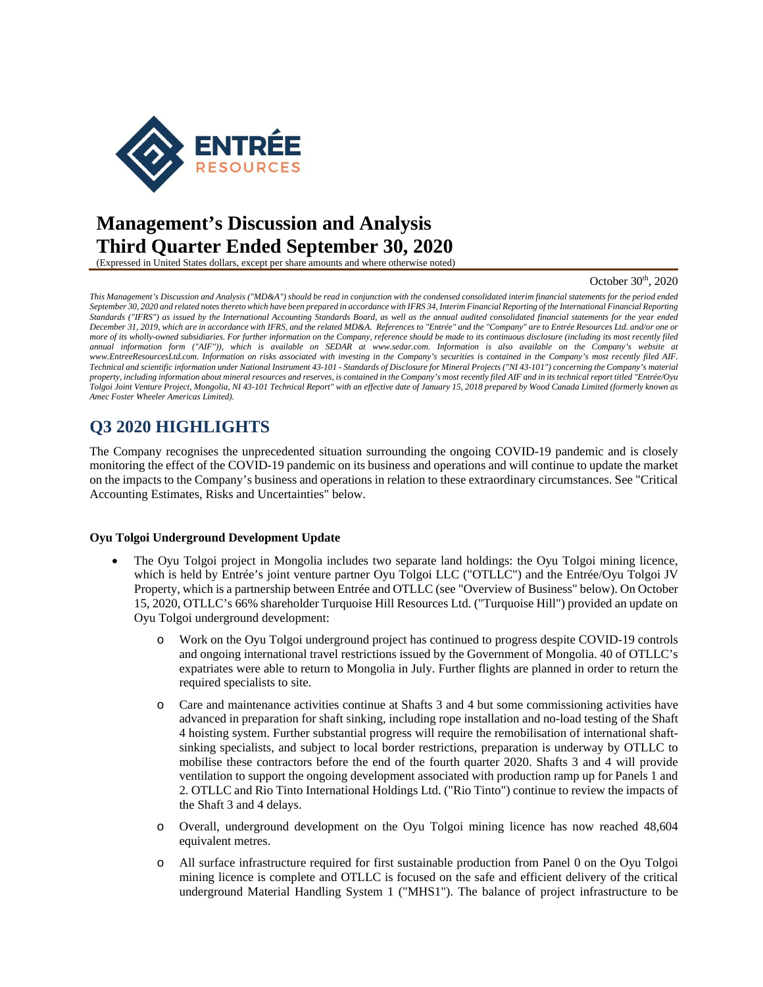

# **Management's Discussion and Analysis Third Quarter Ended September 30, 2020**

(Expressed in United States dollars, except per share amounts and where otherwise noted)

#### October 30<sup>th</sup>, 2020

*This Management's Discussion and Analysis ("MD&A") should be read in conjunction with the condensed consolidated interim financial statements for the period ended September 30, 2020 and related notes thereto which have been prepared in accordance with IFRS 34, Interim Financial Reporting of the International Financial Reporting Standards ("IFRS") as issued by the International Accounting Standards Board, as well as the annual audited consolidated financial statements for the year ended December 31, 2019, which are in accordance with IFRS, and the related MD&A. References to "Entrée" and the "Company" are to Entrée Resources Ltd. and/or one or more of its wholly-owned subsidiaries. For further information on the Company, reference should be made to its continuous disclosure (including its most recently filed annual information form ("AIF")), which is available on SEDAR at www.sedar.com. Information is also available on the Company's website at www.EntreeResourcesLtd.com. Information on risks associated with investing in the Company's securities is contained in the Company's most recently filed AIF. Technical and scientific information under National Instrument 43-101 - Standards of Disclosure for Mineral Projects ("NI 43-101") concerning the Company's material property, including information about mineral resources and reserves, is contained in the Company's most recently filed AIF and in its technical report titled "Entrée/Oyu Tolgoi Joint Venture Project, Mongolia, NI 43-101 Technical Report" with an effective date of January 15, 2018 prepared by Wood Canada Limited (formerly known as Amec Foster Wheeler Americas Limited).* 

# **Q3 2020 HIGHLIGHTS**

The Company recognises the unprecedented situation surrounding the ongoing COVID-19 pandemic and is closely monitoring the effect of the COVID-19 pandemic on its business and operations and will continue to update the market on the impacts to the Company's business and operations in relation to these extraordinary circumstances. See "Critical Accounting Estimates, Risks and Uncertainties" below.

## **Oyu Tolgoi Underground Development Update**

- The Oyu Tolgoi project in Mongolia includes two separate land holdings: the Oyu Tolgoi mining licence, which is held by Entrée's joint venture partner Oyu Tolgoi LLC ("OTLLC") and the Entrée/Oyu Tolgoi JV Property, which is a partnership between Entrée and OTLLC (see "Overview of Business" below). On October 15, 2020, OTLLC's 66% shareholder Turquoise Hill Resources Ltd. ("Turquoise Hill") provided an update on Oyu Tolgoi underground development:
	- o Work on the Oyu Tolgoi underground project has continued to progress despite COVID-19 controls and ongoing international travel restrictions issued by the Government of Mongolia. 40 of OTLLC's expatriates were able to return to Mongolia in July. Further flights are planned in order to return the required specialists to site.
	- o Care and maintenance activities continue at Shafts 3 and 4 but some commissioning activities have advanced in preparation for shaft sinking, including rope installation and no-load testing of the Shaft 4 hoisting system. Further substantial progress will require the remobilisation of international shaftsinking specialists, and subject to local border restrictions, preparation is underway by OTLLC to mobilise these contractors before the end of the fourth quarter 2020. Shafts 3 and 4 will provide ventilation to support the ongoing development associated with production ramp up for Panels 1 and 2. OTLLC and Rio Tinto International Holdings Ltd. ("Rio Tinto") continue to review the impacts of the Shaft 3 and 4 delays.
	- o Overall, underground development on the Oyu Tolgoi mining licence has now reached 48,604 equivalent metres.
	- o All surface infrastructure required for first sustainable production from Panel 0 on the Oyu Tolgoi mining licence is complete and OTLLC is focused on the safe and efficient delivery of the critical underground Material Handling System 1 ("MHS1"). The balance of project infrastructure to be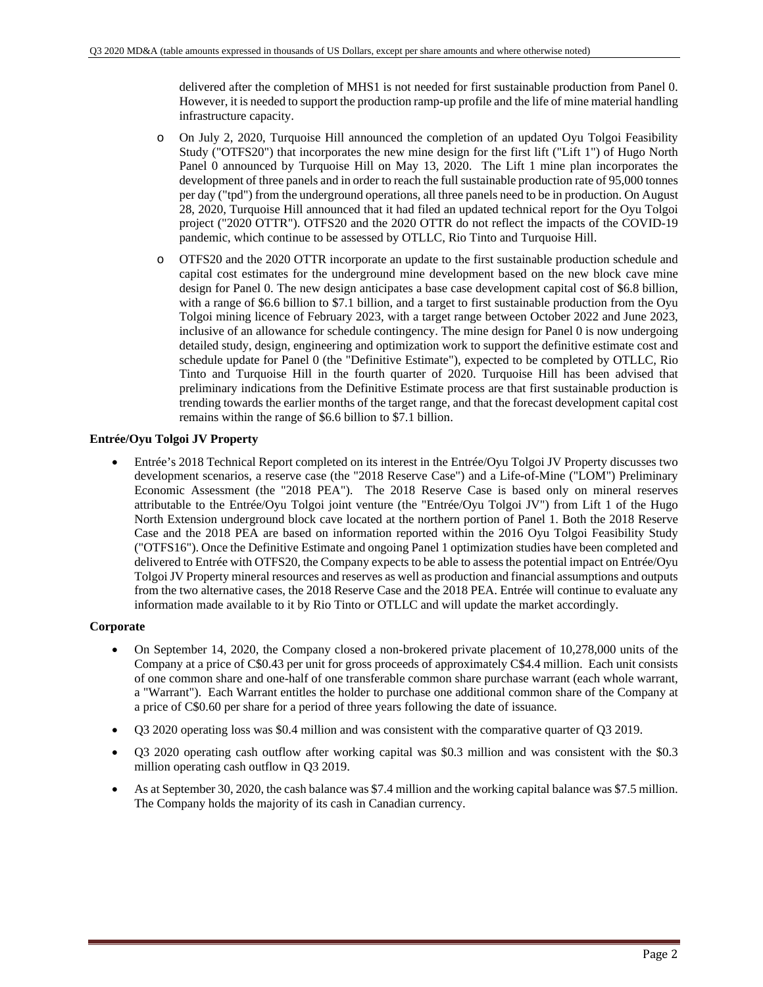delivered after the completion of MHS1 is not needed for first sustainable production from Panel 0. However, it is needed to support the production ramp-up profile and the life of mine material handling infrastructure capacity.

- o On July 2, 2020, Turquoise Hill announced the completion of an updated Oyu Tolgoi Feasibility Study ("OTFS20") that incorporates the new mine design for the first lift ("Lift 1") of Hugo North Panel 0 announced by Turquoise Hill on May 13, 2020. The Lift 1 mine plan incorporates the development of three panels and in order to reach the full sustainable production rate of 95,000 tonnes per day ("tpd") from the underground operations, all three panels need to be in production. On August 28, 2020, Turquoise Hill announced that it had filed an updated technical report for the Oyu Tolgoi project ("2020 OTTR"). OTFS20 and the 2020 OTTR do not reflect the impacts of the COVID-19 pandemic, which continue to be assessed by OTLLC, Rio Tinto and Turquoise Hill.
- o OTFS20 and the 2020 OTTR incorporate an update to the first sustainable production schedule and capital cost estimates for the underground mine development based on the new block cave mine design for Panel 0. The new design anticipates a base case development capital cost of \$6.8 billion, with a range of \$6.6 billion to \$7.1 billion, and a target to first sustainable production from the Oyu Tolgoi mining licence of February 2023, with a target range between October 2022 and June 2023, inclusive of an allowance for schedule contingency. The mine design for Panel 0 is now undergoing detailed study, design, engineering and optimization work to support the definitive estimate cost and schedule update for Panel 0 (the "Definitive Estimate"), expected to be completed by OTLLC, Rio Tinto and Turquoise Hill in the fourth quarter of 2020. Turquoise Hill has been advised that preliminary indications from the Definitive Estimate process are that first sustainable production is trending towards the earlier months of the target range, and that the forecast development capital cost remains within the range of \$6.6 billion to \$7.1 billion.

## **Entrée/Oyu Tolgoi JV Property**

 Entrée's 2018 Technical Report completed on its interest in the Entrée/Oyu Tolgoi JV Property discusses two development scenarios, a reserve case (the "2018 Reserve Case") and a Life-of-Mine ("LOM") Preliminary Economic Assessment (the "2018 PEA"). The 2018 Reserve Case is based only on mineral reserves attributable to the Entrée/Oyu Tolgoi joint venture (the "Entrée/Oyu Tolgoi JV") from Lift 1 of the Hugo North Extension underground block cave located at the northern portion of Panel 1. Both the 2018 Reserve Case and the 2018 PEA are based on information reported within the 2016 Oyu Tolgoi Feasibility Study ("OTFS16"). Once the Definitive Estimate and ongoing Panel 1 optimization studies have been completed and delivered to Entrée with OTFS20, the Company expects to be able to assess the potential impact on Entrée/Oyu Tolgoi JV Property mineral resources and reserves as well as production and financial assumptions and outputs from the two alternative cases, the 2018 Reserve Case and the 2018 PEA. Entrée will continue to evaluate any information made available to it by Rio Tinto or OTLLC and will update the market accordingly.

## **Corporate**

- On September 14, 2020, the Company closed a non-brokered private placement of 10,278,000 units of the Company at a price of C\$0.43 per unit for gross proceeds of approximately C\$4.4 million. Each unit consists of one common share and one-half of one transferable common share purchase warrant (each whole warrant, a "Warrant"). Each Warrant entitles the holder to purchase one additional common share of the Company at a price of C\$0.60 per share for a period of three years following the date of issuance.
- Q3 2020 operating loss was \$0.4 million and was consistent with the comparative quarter of Q3 2019.
- Q3 2020 operating cash outflow after working capital was \$0.3 million and was consistent with the \$0.3 million operating cash outflow in Q3 2019.
- As at September 30, 2020, the cash balance was \$7.4 million and the working capital balance was \$7.5 million. The Company holds the majority of its cash in Canadian currency.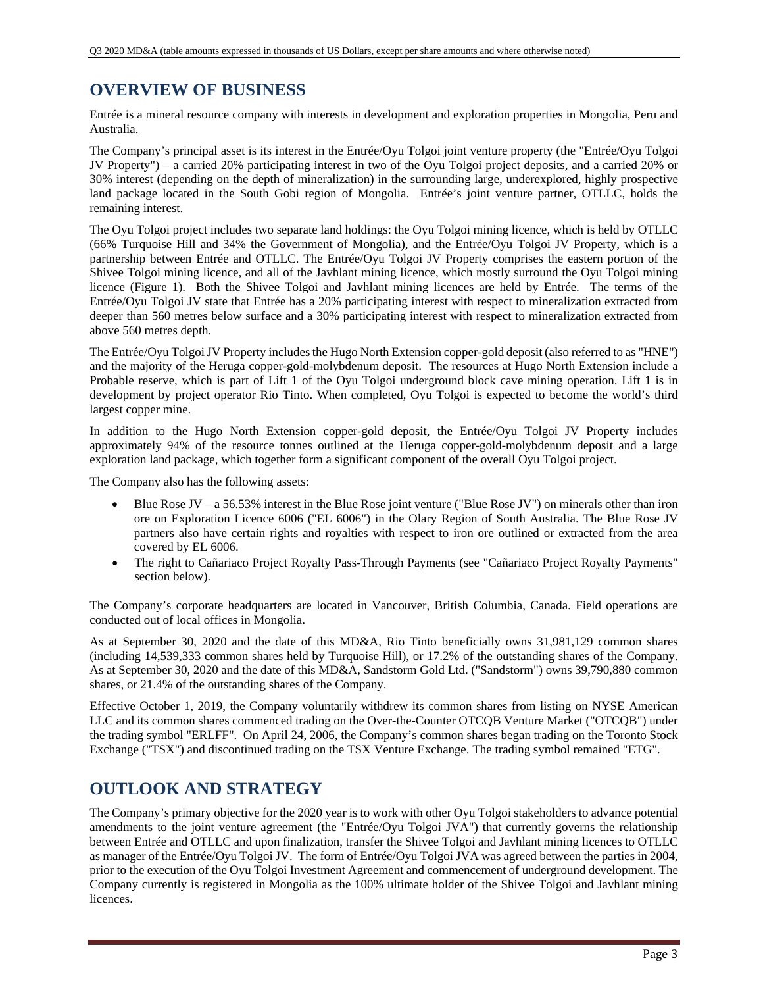# **OVERVIEW OF BUSINESS**

Entrée is a mineral resource company with interests in development and exploration properties in Mongolia, Peru and Australia.

The Company's principal asset is its interest in the Entrée/Oyu Tolgoi joint venture property (the "Entrée/Oyu Tolgoi JV Property") – a carried 20% participating interest in two of the Oyu Tolgoi project deposits, and a carried 20% or 30% interest (depending on the depth of mineralization) in the surrounding large, underexplored, highly prospective land package located in the South Gobi region of Mongolia. Entrée's joint venture partner, OTLLC, holds the remaining interest.

The Oyu Tolgoi project includes two separate land holdings: the Oyu Tolgoi mining licence, which is held by OTLLC (66% Turquoise Hill and 34% the Government of Mongolia), and the Entrée/Oyu Tolgoi JV Property, which is a partnership between Entrée and OTLLC. The Entrée/Oyu Tolgoi JV Property comprises the eastern portion of the Shivee Tolgoi mining licence, and all of the Javhlant mining licence, which mostly surround the Oyu Tolgoi mining licence (Figure 1). Both the Shivee Tolgoi and Javhlant mining licences are held by Entrée. The terms of the Entrée/Oyu Tolgoi JV state that Entrée has a 20% participating interest with respect to mineralization extracted from deeper than 560 metres below surface and a 30% participating interest with respect to mineralization extracted from above 560 metres depth.

The Entrée/Oyu Tolgoi JV Property includes the Hugo North Extension copper-gold deposit (also referred to as "HNE") and the majority of the Heruga copper-gold-molybdenum deposit. The resources at Hugo North Extension include a Probable reserve, which is part of Lift 1 of the Oyu Tolgoi underground block cave mining operation. Lift 1 is in development by project operator Rio Tinto. When completed, Oyu Tolgoi is expected to become the world's third largest copper mine.

In addition to the Hugo North Extension copper-gold deposit, the Entrée/Oyu Tolgoi JV Property includes approximately 94% of the resource tonnes outlined at the Heruga copper-gold-molybdenum deposit and a large exploration land package, which together form a significant component of the overall Oyu Tolgoi project.

The Company also has the following assets:

- Blue Rose JV a 56.53% interest in the Blue Rose joint venture ("Blue Rose JV") on minerals other than iron ore on Exploration Licence 6006 ("EL 6006") in the Olary Region of South Australia. The Blue Rose JV partners also have certain rights and royalties with respect to iron ore outlined or extracted from the area covered by EL 6006.
- The right to Cañariaco Project Royalty Pass-Through Payments (see "Cañariaco Project Royalty Payments" section below).

The Company's corporate headquarters are located in Vancouver, British Columbia, Canada. Field operations are conducted out of local offices in Mongolia.

As at September 30, 2020 and the date of this MD&A, Rio Tinto beneficially owns 31,981,129 common shares (including 14,539,333 common shares held by Turquoise Hill), or 17.2% of the outstanding shares of the Company. As at September 30, 2020 and the date of this MD&A, Sandstorm Gold Ltd. ("Sandstorm") owns 39,790,880 common shares, or 21.4% of the outstanding shares of the Company.

Effective October 1, 2019, the Company voluntarily withdrew its common shares from listing on NYSE American LLC and its common shares commenced trading on the Over-the-Counter OTCQB Venture Market ("OTCQB") under the trading symbol "ERLFF". On April 24, 2006, the Company's common shares began trading on the Toronto Stock Exchange ("TSX") and discontinued trading on the TSX Venture Exchange. The trading symbol remained "ETG".

# **OUTLOOK AND STRATEGY**

The Company's primary objective for the 2020 year is to work with other Oyu Tolgoi stakeholders to advance potential amendments to the joint venture agreement (the "Entrée/Oyu Tolgoi JVA") that currently governs the relationship between Entrée and OTLLC and upon finalization, transfer the Shivee Tolgoi and Javhlant mining licences to OTLLC as manager of the Entrée/Oyu Tolgoi JV. The form of Entrée/Oyu Tolgoi JVA was agreed between the parties in 2004, prior to the execution of the Oyu Tolgoi Investment Agreement and commencement of underground development. The Company currently is registered in Mongolia as the 100% ultimate holder of the Shivee Tolgoi and Javhlant mining licences.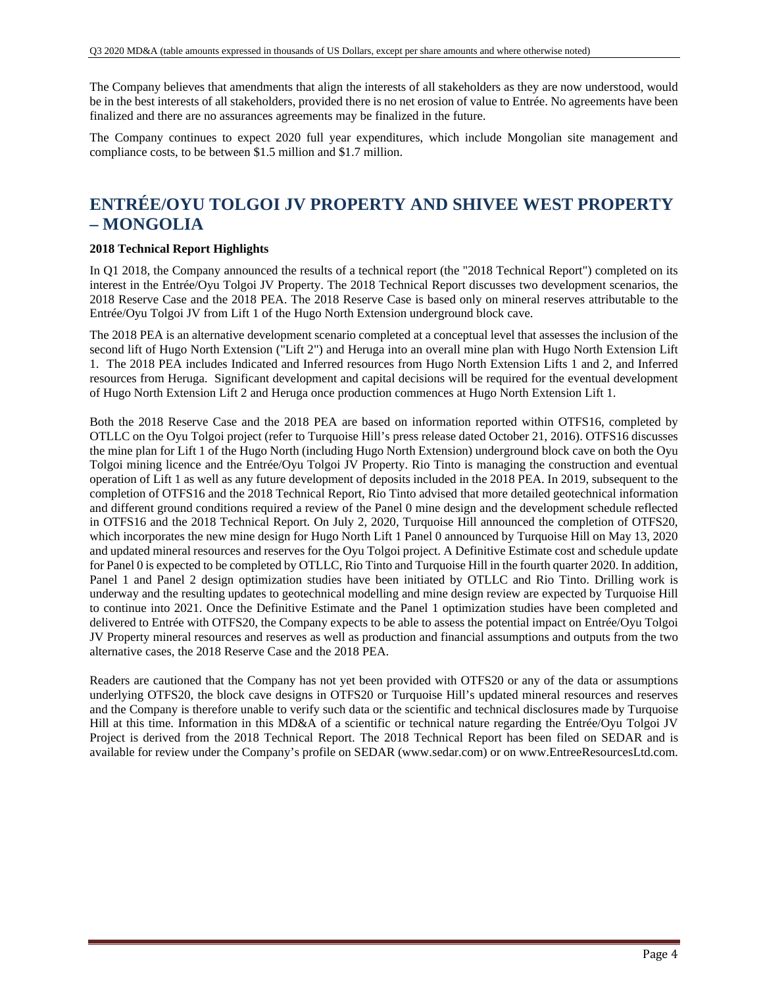The Company believes that amendments that align the interests of all stakeholders as they are now understood, would be in the best interests of all stakeholders, provided there is no net erosion of value to Entrée. No agreements have been finalized and there are no assurances agreements may be finalized in the future.

The Company continues to expect 2020 full year expenditures, which include Mongolian site management and compliance costs, to be between \$1.5 million and \$1.7 million.

# **ENTRÉE/OYU TOLGOI JV PROPERTY AND SHIVEE WEST PROPERTY – MONGOLIA**

#### **2018 Technical Report Highlights**

In Q1 2018, the Company announced the results of a technical report (the "2018 Technical Report") completed on its interest in the Entrée/Oyu Tolgoi JV Property. The 2018 Technical Report discusses two development scenarios, the 2018 Reserve Case and the 2018 PEA. The 2018 Reserve Case is based only on mineral reserves attributable to the Entrée/Oyu Tolgoi JV from Lift 1 of the Hugo North Extension underground block cave.

The 2018 PEA is an alternative development scenario completed at a conceptual level that assesses the inclusion of the second lift of Hugo North Extension ("Lift 2") and Heruga into an overall mine plan with Hugo North Extension Lift 1. The 2018 PEA includes Indicated and Inferred resources from Hugo North Extension Lifts 1 and 2, and Inferred resources from Heruga. Significant development and capital decisions will be required for the eventual development of Hugo North Extension Lift 2 and Heruga once production commences at Hugo North Extension Lift 1.

Both the 2018 Reserve Case and the 2018 PEA are based on information reported within OTFS16, completed by OTLLC on the Oyu Tolgoi project (refer to Turquoise Hill's press release dated October 21, 2016). OTFS16 discusses the mine plan for Lift 1 of the Hugo North (including Hugo North Extension) underground block cave on both the Oyu Tolgoi mining licence and the Entrée/Oyu Tolgoi JV Property. Rio Tinto is managing the construction and eventual operation of Lift 1 as well as any future development of deposits included in the 2018 PEA. In 2019, subsequent to the completion of OTFS16 and the 2018 Technical Report, Rio Tinto advised that more detailed geotechnical information and different ground conditions required a review of the Panel 0 mine design and the development schedule reflected in OTFS16 and the 2018 Technical Report. On July 2, 2020, Turquoise Hill announced the completion of OTFS20, which incorporates the new mine design for Hugo North Lift 1 Panel 0 announced by Turquoise Hill on May 13, 2020 and updated mineral resources and reserves for the Oyu Tolgoi project. A Definitive Estimate cost and schedule update for Panel 0 is expected to be completed by OTLLC, Rio Tinto and Turquoise Hill in the fourth quarter 2020. In addition, Panel 1 and Panel 2 design optimization studies have been initiated by OTLLC and Rio Tinto. Drilling work is underway and the resulting updates to geotechnical modelling and mine design review are expected by Turquoise Hill to continue into 2021. Once the Definitive Estimate and the Panel 1 optimization studies have been completed and delivered to Entrée with OTFS20, the Company expects to be able to assess the potential impact on Entrée/Oyu Tolgoi JV Property mineral resources and reserves as well as production and financial assumptions and outputs from the two alternative cases, the 2018 Reserve Case and the 2018 PEA.

Readers are cautioned that the Company has not yet been provided with OTFS20 or any of the data or assumptions underlying OTFS20, the block cave designs in OTFS20 or Turquoise Hill's updated mineral resources and reserves and the Company is therefore unable to verify such data or the scientific and technical disclosures made by Turquoise Hill at this time. Information in this MD&A of a scientific or technical nature regarding the Entrée/Oyu Tolgoi JV Project is derived from the 2018 Technical Report. The 2018 Technical Report has been filed on SEDAR and is available for review under the Company's profile on SEDAR (www.sedar.com) or on www.EntreeResourcesLtd.com.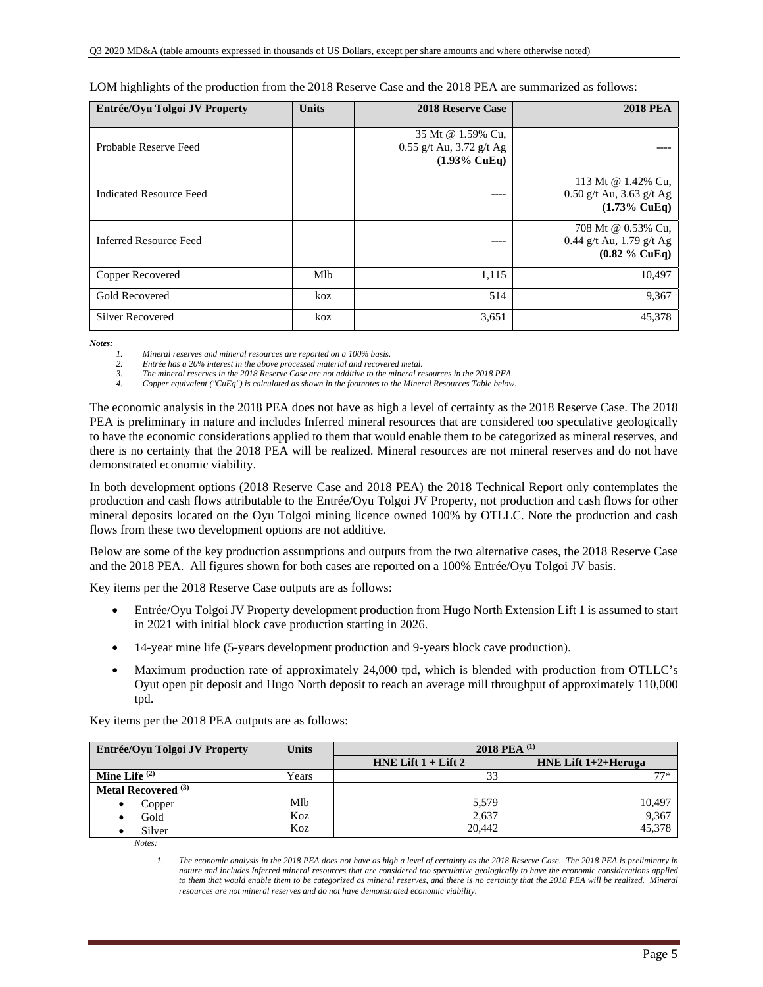| Entrée/Oyu Tolgoi JV Property  | <b>Units</b> | <b>2018 Reserve Case</b>                                                 | <b>2018 PEA</b>                                                             |
|--------------------------------|--------------|--------------------------------------------------------------------------|-----------------------------------------------------------------------------|
| Probable Reserve Feed          |              | 35 Mt @ 1.59% Cu,<br>0.55 g/t Au, 3.72 g/t Ag<br>$(1.93\% \text{ CuEq})$ |                                                                             |
| <b>Indicated Resource Feed</b> |              | ----                                                                     | 113 Mt @ 1.42% Cu,<br>$0.50$ g/t Au, 3.63 g/t Ag<br>$(1.73\% \text{ CuEq})$ |
| <b>Inferred Resource Feed</b>  |              | ----                                                                     | 708 Mt @ 0.53% Cu,<br>0.44 g/t Au, 1.79 g/t Ag<br>$(0.82 \%$ CuEq)          |
| Copper Recovered               | Mlb          | 1,115                                                                    | 10,497                                                                      |
| <b>Gold Recovered</b>          | koz          | 514                                                                      | 9,367                                                                       |
| <b>Silver Recovered</b>        | koz          | 3,651                                                                    | 45,378                                                                      |

LOM highlights of the production from the 2018 Reserve Case and the 2018 PEA are summarized as follows:

*Notes:* 

*1. Mineral reserves and mineral resources are reported on a 100% basis.* 

*2. Entrée has a 20% interest in the above processed material and recovered metal.* 

*3. The mineral reserves in the 2018 Reserve Case are not additive to the mineral resources in the 2018 PEA.* 

*4. Copper equivalent ("CuEq") is calculated as shown in the footnotes to the Mineral Resources Table below.* 

The economic analysis in the 2018 PEA does not have as high a level of certainty as the 2018 Reserve Case. The 2018 PEA is preliminary in nature and includes Inferred mineral resources that are considered too speculative geologically to have the economic considerations applied to them that would enable them to be categorized as mineral reserves, and there is no certainty that the 2018 PEA will be realized. Mineral resources are not mineral reserves and do not have demonstrated economic viability.

In both development options (2018 Reserve Case and 2018 PEA) the 2018 Technical Report only contemplates the production and cash flows attributable to the Entrée/Oyu Tolgoi JV Property, not production and cash flows for other mineral deposits located on the Oyu Tolgoi mining licence owned 100% by OTLLC. Note the production and cash flows from these two development options are not additive.

Below are some of the key production assumptions and outputs from the two alternative cases, the 2018 Reserve Case and the 2018 PEA. All figures shown for both cases are reported on a 100% Entrée/Oyu Tolgoi JV basis.

Key items per the 2018 Reserve Case outputs are as follows:

- Entrée/Oyu Tolgoi JV Property development production from Hugo North Extension Lift 1 is assumed to start in 2021 with initial block cave production starting in 2026.
- 14-year mine life (5-years development production and 9-years block cave production).
- Maximum production rate of approximately 24,000 tpd, which is blended with production from OTLLC's Oyut open pit deposit and Hugo North deposit to reach an average mill throughput of approximately 110,000 tpd.

Key items per the 2018 PEA outputs are as follows:

| Entrée/Oyu Tolgoi JV Property  | Units | $2018$ PEA $^{(1)}$     |                        |  |  |  |  |  |
|--------------------------------|-------|-------------------------|------------------------|--|--|--|--|--|
|                                |       | HNE Lift $1 +$ Lift $2$ | HNE Lift $1+2+$ Heruga |  |  |  |  |  |
| Mine Life $(2)$                | Years | 33                      | $77*$                  |  |  |  |  |  |
| Metal Recovered <sup>(3)</sup> |       |                         |                        |  |  |  |  |  |
| Copper                         | Mlb   | 5,579                   | 10,497                 |  |  |  |  |  |
| Gold                           | Koz   | 2,637                   | 9,367                  |  |  |  |  |  |
| Silver                         | Koz   | 20.442                  | 45,378                 |  |  |  |  |  |

*Notes:* 

*1. The economic analysis in the 2018 PEA does not have as high a level of certainty as the 2018 Reserve Case. The 2018 PEA is preliminary in nature and includes Inferred mineral resources that are considered too speculative geologically to have the economic considerations applied*  to them that would enable them to be categorized as mineral reserves, and there is no certainty that the 2018 PEA will be realized. Mineral *resources are not mineral reserves and do not have demonstrated economic viability.*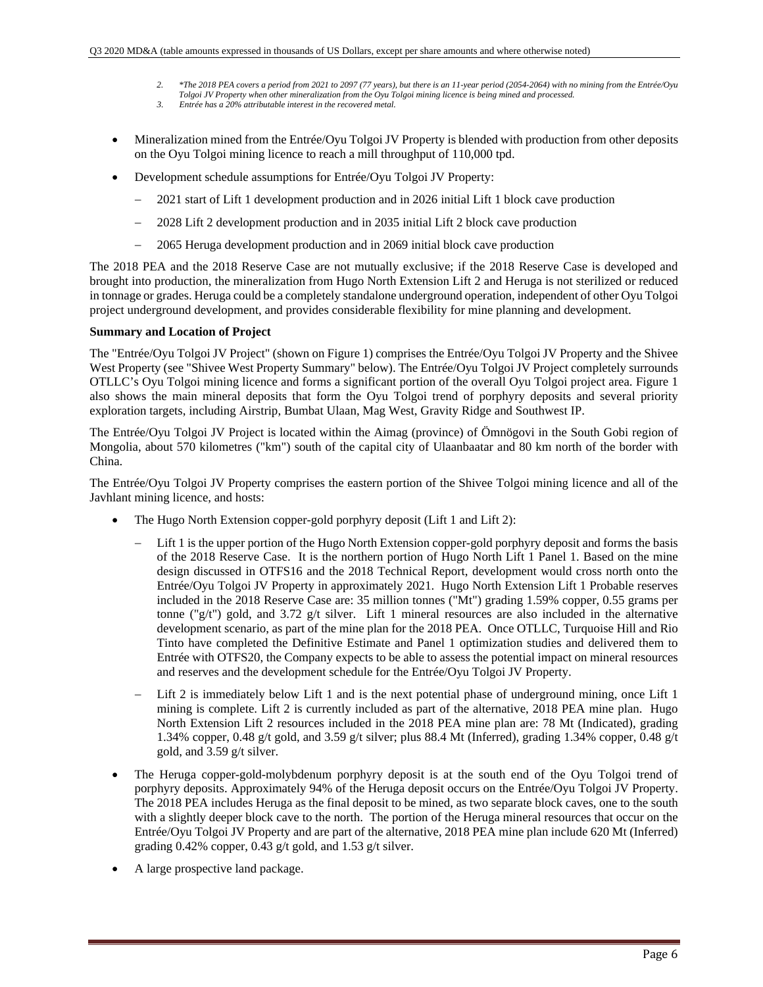- *2. \*The 2018 PEA covers a period from 2021 to 2097 (77 years), but there is an 11-year period (2054-2064) with no mining from the Entrée/Oyu* 
	- *Tolgoi JV Property when other mineralization from the Oyu Tolgoi mining licence is being mined and processed.*
- *3. Entrée has a 20% attributable interest in the recovered metal.*
- Mineralization mined from the Entrée/Oyu Tolgoi JV Property is blended with production from other deposits on the Oyu Tolgoi mining licence to reach a mill throughput of 110,000 tpd.
- Development schedule assumptions for Entrée/Oyu Tolgoi JV Property:
	- 2021 start of Lift 1 development production and in 2026 initial Lift 1 block cave production
	- 2028 Lift 2 development production and in 2035 initial Lift 2 block cave production
	- 2065 Heruga development production and in 2069 initial block cave production

The 2018 PEA and the 2018 Reserve Case are not mutually exclusive; if the 2018 Reserve Case is developed and brought into production, the mineralization from Hugo North Extension Lift 2 and Heruga is not sterilized or reduced in tonnage or grades. Heruga could be a completely standalone underground operation, independent of other Oyu Tolgoi project underground development, and provides considerable flexibility for mine planning and development.

### **Summary and Location of Project**

The "Entrée/Oyu Tolgoi JV Project" (shown on Figure 1) comprises the Entrée/Oyu Tolgoi JV Property and the Shivee West Property (see "Shivee West Property Summary" below). The Entrée/Oyu Tolgoi JV Project completely surrounds OTLLC's Oyu Tolgoi mining licence and forms a significant portion of the overall Oyu Tolgoi project area. Figure 1 also shows the main mineral deposits that form the Oyu Tolgoi trend of porphyry deposits and several priority exploration targets, including Airstrip, Bumbat Ulaan, Mag West, Gravity Ridge and Southwest IP.

The Entrée/Oyu Tolgoi JV Project is located within the Aimag (province) of Ömnögovi in the South Gobi region of Mongolia, about 570 kilometres ("km") south of the capital city of Ulaanbaatar and 80 km north of the border with China.

The Entrée/Oyu Tolgoi JV Property comprises the eastern portion of the Shivee Tolgoi mining licence and all of the Javhlant mining licence, and hosts:

- The Hugo North Extension copper-gold porphyry deposit (Lift 1 and Lift 2):
	- Lift 1 is the upper portion of the Hugo North Extension copper-gold porphyry deposit and forms the basis of the 2018 Reserve Case. It is the northern portion of Hugo North Lift 1 Panel 1. Based on the mine design discussed in OTFS16 and the 2018 Technical Report, development would cross north onto the Entrée/Oyu Tolgoi JV Property in approximately 2021. Hugo North Extension Lift 1 Probable reserves included in the 2018 Reserve Case are: 35 million tonnes ("Mt") grading 1.59% copper, 0.55 grams per tonne ("g/t") gold, and 3.72 g/t silver. Lift 1 mineral resources are also included in the alternative development scenario, as part of the mine plan for the 2018 PEA. Once OTLLC, Turquoise Hill and Rio Tinto have completed the Definitive Estimate and Panel 1 optimization studies and delivered them to Entrée with OTFS20, the Company expects to be able to assess the potential impact on mineral resources and reserves and the development schedule for the Entrée/Oyu Tolgoi JV Property.
	- Lift 2 is immediately below Lift 1 and is the next potential phase of underground mining, once Lift 1 mining is complete. Lift 2 is currently included as part of the alternative, 2018 PEA mine plan. Hugo North Extension Lift 2 resources included in the 2018 PEA mine plan are: 78 Mt (Indicated), grading 1.34% copper, 0.48 g/t gold, and 3.59 g/t silver; plus 88.4 Mt (Inferred), grading 1.34% copper, 0.48 g/t gold, and 3.59 g/t silver.
- The Heruga copper-gold-molybdenum porphyry deposit is at the south end of the Oyu Tolgoi trend of porphyry deposits. Approximately 94% of the Heruga deposit occurs on the Entrée/Oyu Tolgoi JV Property. The 2018 PEA includes Heruga as the final deposit to be mined, as two separate block caves, one to the south with a slightly deeper block cave to the north. The portion of the Heruga mineral resources that occur on the Entrée/Oyu Tolgoi JV Property and are part of the alternative, 2018 PEA mine plan include 620 Mt (Inferred) grading 0.42% copper, 0.43 g/t gold, and 1.53 g/t silver.
- A large prospective land package.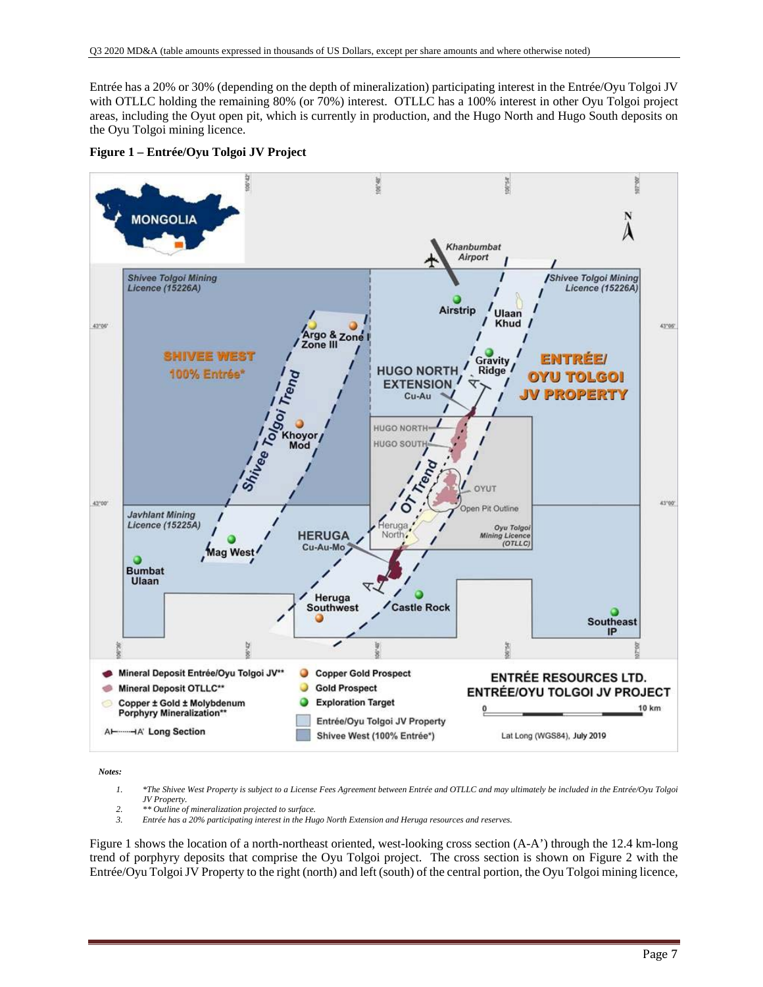Entrée has a 20% or 30% (depending on the depth of mineralization) participating interest in the Entrée/Oyu Tolgoi JV with OTLLC holding the remaining 80% (or 70%) interest. OTLLC has a 100% interest in other Oyu Tolgoi project areas, including the Oyut open pit, which is currently in production, and the Hugo North and Hugo South deposits on the Oyu Tolgoi mining licence.





*Notes:* 

- *1. \*The Shivee West Property is subject to a License Fees Agreement between Entrée and OTLLC and may ultimately be included in the Entrée/Oyu Tolgoi JV Property.*
- *2. \*\* Outline of mineralization projected to surface.*
- *3. Entrée has a 20% participating interest in the Hugo North Extension and Heruga resources and reserves.*

Figure 1 shows the location of a north-northeast oriented, west-looking cross section (A-A') through the 12.4 km-long trend of porphyry deposits that comprise the Oyu Tolgoi project. The cross section is shown on Figure 2 with the Entrée/Oyu Tolgoi JV Property to the right (north) and left (south) of the central portion, the Oyu Tolgoi mining licence,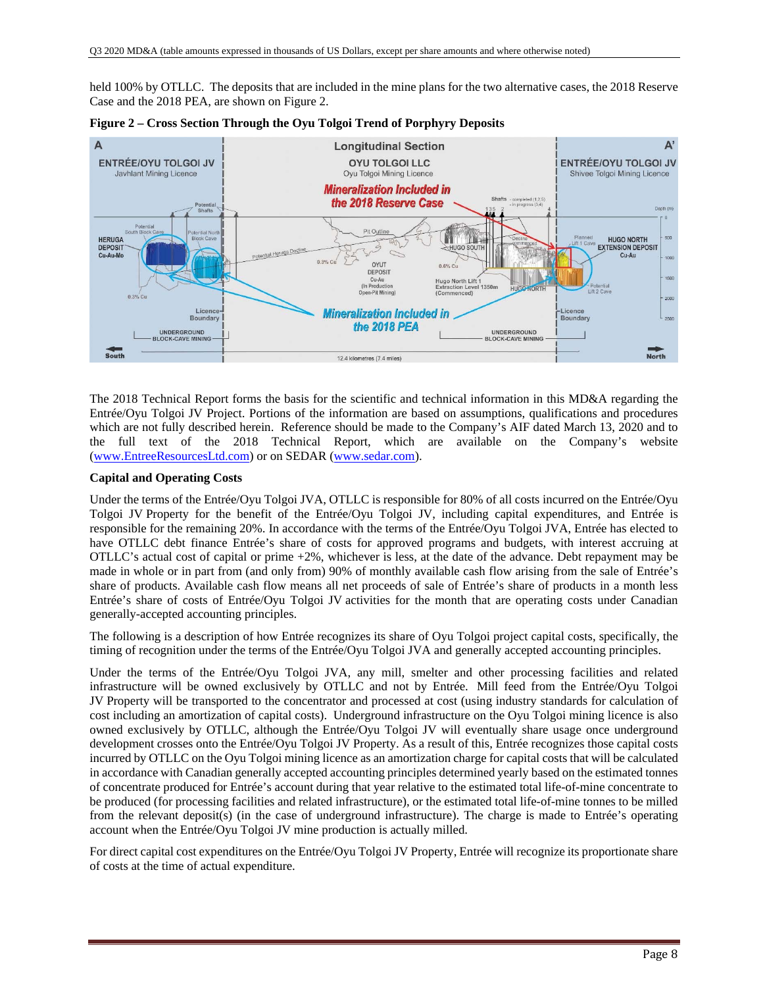held 100% by OTLLC. The deposits that are included in the mine plans for the two alternative cases, the 2018 Reserve Case and the 2018 PEA, are shown on Figure 2.



**Figure 2 – Cross Section Through the Oyu Tolgoi Trend of Porphyry Deposits** 

The 2018 Technical Report forms the basis for the scientific and technical information in this MD&A regarding the Entrée/Oyu Tolgoi JV Project. Portions of the information are based on assumptions, qualifications and procedures which are not fully described herein. Reference should be made to the Company's AIF dated March 13, 2020 and to the full text of the 2018 Technical Report, which are available on the Company's website (www.EntreeResourcesLtd.com) or on SEDAR (www.sedar.com).

## **Capital and Operating Costs**

Under the terms of the Entrée/Oyu Tolgoi JVA, OTLLC is responsible for 80% of all costs incurred on the Entrée/Oyu Tolgoi JV Property for the benefit of the Entrée/Oyu Tolgoi JV, including capital expenditures, and Entrée is responsible for the remaining 20%. In accordance with the terms of the Entrée/Oyu Tolgoi JVA, Entrée has elected to have OTLLC debt finance Entrée's share of costs for approved programs and budgets, with interest accruing at OTLLC's actual cost of capital or prime +2%, whichever is less, at the date of the advance. Debt repayment may be made in whole or in part from (and only from) 90% of monthly available cash flow arising from the sale of Entrée's share of products. Available cash flow means all net proceeds of sale of Entrée's share of products in a month less Entrée's share of costs of Entrée/Oyu Tolgoi JV activities for the month that are operating costs under Canadian generally-accepted accounting principles.

The following is a description of how Entrée recognizes its share of Oyu Tolgoi project capital costs, specifically, the timing of recognition under the terms of the Entrée/Oyu Tolgoi JVA and generally accepted accounting principles.

Under the terms of the Entrée/Oyu Tolgoi JVA, any mill, smelter and other processing facilities and related infrastructure will be owned exclusively by OTLLC and not by Entrée. Mill feed from the Entrée/Oyu Tolgoi JV Property will be transported to the concentrator and processed at cost (using industry standards for calculation of cost including an amortization of capital costs). Underground infrastructure on the Oyu Tolgoi mining licence is also owned exclusively by OTLLC, although the Entrée/Oyu Tolgoi JV will eventually share usage once underground development crosses onto the Entrée/Oyu Tolgoi JV Property. As a result of this, Entrée recognizes those capital costs incurred by OTLLC on the Oyu Tolgoi mining licence as an amortization charge for capital costs that will be calculated in accordance with Canadian generally accepted accounting principles determined yearly based on the estimated tonnes of concentrate produced for Entrée's account during that year relative to the estimated total life-of-mine concentrate to be produced (for processing facilities and related infrastructure), or the estimated total life-of-mine tonnes to be milled from the relevant deposit(s) (in the case of underground infrastructure). The charge is made to Entrée's operating account when the Entrée/Oyu Tolgoi JV mine production is actually milled.

For direct capital cost expenditures on the Entrée/Oyu Tolgoi JV Property, Entrée will recognize its proportionate share of costs at the time of actual expenditure.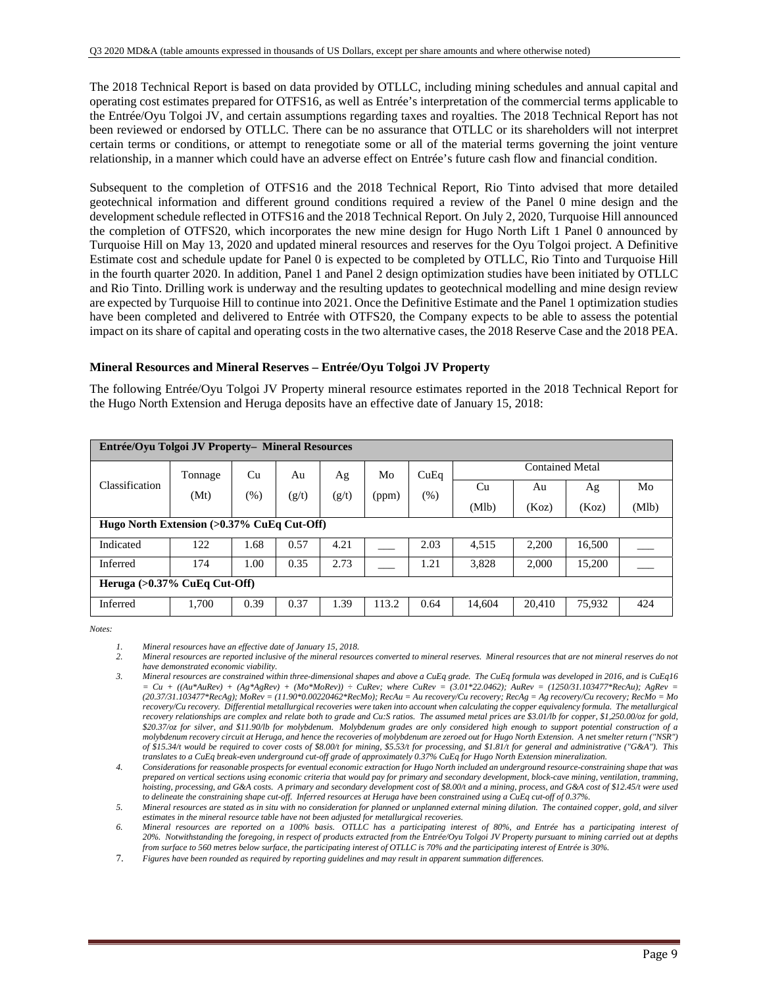The 2018 Technical Report is based on data provided by OTLLC, including mining schedules and annual capital and operating cost estimates prepared for OTFS16, as well as Entrée's interpretation of the commercial terms applicable to the Entrée/Oyu Tolgoi JV, and certain assumptions regarding taxes and royalties. The 2018 Technical Report has not been reviewed or endorsed by OTLLC. There can be no assurance that OTLLC or its shareholders will not interpret certain terms or conditions, or attempt to renegotiate some or all of the material terms governing the joint venture relationship, in a manner which could have an adverse effect on Entrée's future cash flow and financial condition.

Subsequent to the completion of OTFS16 and the 2018 Technical Report, Rio Tinto advised that more detailed geotechnical information and different ground conditions required a review of the Panel 0 mine design and the development schedule reflected in OTFS16 and the 2018 Technical Report. On July 2, 2020, Turquoise Hill announced the completion of OTFS20, which incorporates the new mine design for Hugo North Lift 1 Panel 0 announced by Turquoise Hill on May 13, 2020 and updated mineral resources and reserves for the Oyu Tolgoi project. A Definitive Estimate cost and schedule update for Panel 0 is expected to be completed by OTLLC, Rio Tinto and Turquoise Hill in the fourth quarter 2020. In addition, Panel 1 and Panel 2 design optimization studies have been initiated by OTLLC and Rio Tinto. Drilling work is underway and the resulting updates to geotechnical modelling and mine design review are expected by Turquoise Hill to continue into 2021. Once the Definitive Estimate and the Panel 1 optimization studies have been completed and delivered to Entrée with OTFS20, the Company expects to be able to assess the potential impact on its share of capital and operating costs in the two alternative cases, the 2018 Reserve Case and the 2018 PEA.

### **Mineral Resources and Mineral Reserves – Entrée/Oyu Tolgoi JV Property**

The following Entrée/Oyu Tolgoi JV Property mineral resource estimates reported in the 2018 Technical Report for the Hugo North Extension and Heruga deposits have an effective date of January 15, 2018:

|                | Entrée/Oyu Tolgoi JV Property- Mineral Resources |      |       |       |       |        |        |                        |        |       |  |  |  |
|----------------|--------------------------------------------------|------|-------|-------|-------|--------|--------|------------------------|--------|-------|--|--|--|
|                | Tonnage                                          | Cu   | Au    | Ag    | Mo    | CuEq   |        | <b>Contained Metal</b> |        |       |  |  |  |
| Classification | (Mt)                                             | (%)  | (g/t) | (g/t) | (ppm) | $(\%)$ | Cu     | Au                     | Ag     | Mo    |  |  |  |
|                |                                                  |      |       |       |       |        | (Mlb)  | (Koz)                  | (Koz)  | (Mlb) |  |  |  |
|                | Hugo North Extension (>0.37% CuEq Cut-Off)       |      |       |       |       |        |        |                        |        |       |  |  |  |
| Indicated      | 122                                              | 1.68 | 0.57  | 4.21  |       | 2.03   | 4,515  | 2,200                  | 16,500 |       |  |  |  |
| Inferred       | 174                                              | 1.00 | 0.35  | 2.73  |       | 1.21   | 3,828  | 2.000                  | 15,200 |       |  |  |  |
|                | Heruga $(>0.37\%$ CuEq Cut-Off)                  |      |       |       |       |        |        |                        |        |       |  |  |  |
| Inferred       | 1,700                                            | 0.39 | 0.37  | 1.39  | 113.2 | 0.64   | 14.604 | 20,410                 | 75,932 | 424   |  |  |  |

*Notes:* 

*<sup>1.</sup> Mineral resources have an effective date of January 15, 2018.* 

*<sup>2.</sup> Mineral resources are reported inclusive of the mineral resources converted to mineral reserves. Mineral resources that are not mineral reserves do not have demonstrated economic viability.* 

*<sup>3.</sup> Mineral resources are constrained within three-dimensional shapes and above a CuEq grade. The CuEq formula was developed in 2016, and is CuEq16*   $= Cu + ((Au*AuRev) + (Ag*AgRev) + (Mo*MoRev)) \div CuRev;$  where  $CuRev = (3.01*22.0462);$  AuRev = (1250/31.103477\*RecAu); AgRev = *(20.37/31.103477\*RecAg); MoRev = (11.90\*0.00220462\*RecMo); RecAu = Au recovery/Cu recovery; RecAg = Ag recovery/Cu recovery; RecMo = Mo recovery/Cu recovery. Differential metallurgical recoveries were taken into account when calculating the copper equivalency formula. The metallurgical recovery relationships are complex and relate both to grade and Cu:S ratios. The assumed metal prices are \$3.01/lb for copper, \$1,250.00/oz for gold, \$20.37/oz for silver, and \$11.90/lb for molybdenum. Molybdenum grades are only considered high enough to support potential construction of a molybdenum recovery circuit at Heruga, and hence the recoveries of molybdenum are zeroed out for Hugo North Extension. A net smelter return ("NSR") of \$15.34/t would be required to cover costs of \$8.00/t for mining, \$5.53/t for processing, and \$1.81/t for general and administrative ("G&A"). This translates to a CuEq break-even underground cut-off grade of approximately 0.37% CuEq for Hugo North Extension mineralization.* 

*<sup>4.</sup> Considerations for reasonable prospects for eventual economic extraction for Hugo North included an underground resource-constraining shape that was prepared on vertical sections using economic criteria that would pay for primary and secondary development, block-cave mining, ventilation, tramming, hoisting, processing, and G&A costs. A primary and secondary development cost of \$8.00/t and a mining, process, and G&A cost of \$12.45/t were used to delineate the constraining shape cut-off. Inferred resources at Heruga have been constrained using a CuEq cut-off of 0.37%.*

*<sup>5.</sup> Mineral resources are stated as in situ with no consideration for planned or unplanned external mining dilution. The contained copper, gold, and silver estimates in the mineral resource table have not been adjusted for metallurgical recoveries.* 

*<sup>6.</sup> Mineral resources are reported on a 100% basis. OTLLC has a participating interest of 80%, and Entrée has a participating interest of 20%. Notwithstanding the foregoing, in respect of products extracted from the Entrée/Oyu Tolgoi JV Property pursuant to mining carried out at depths from surface to 560 metres below surface, the participating interest of OTLLC is 70% and the participating interest of Entrée is 30%.* 

<sup>7.</sup> *Figures have been rounded as required by reporting guidelines and may result in apparent summation differences.*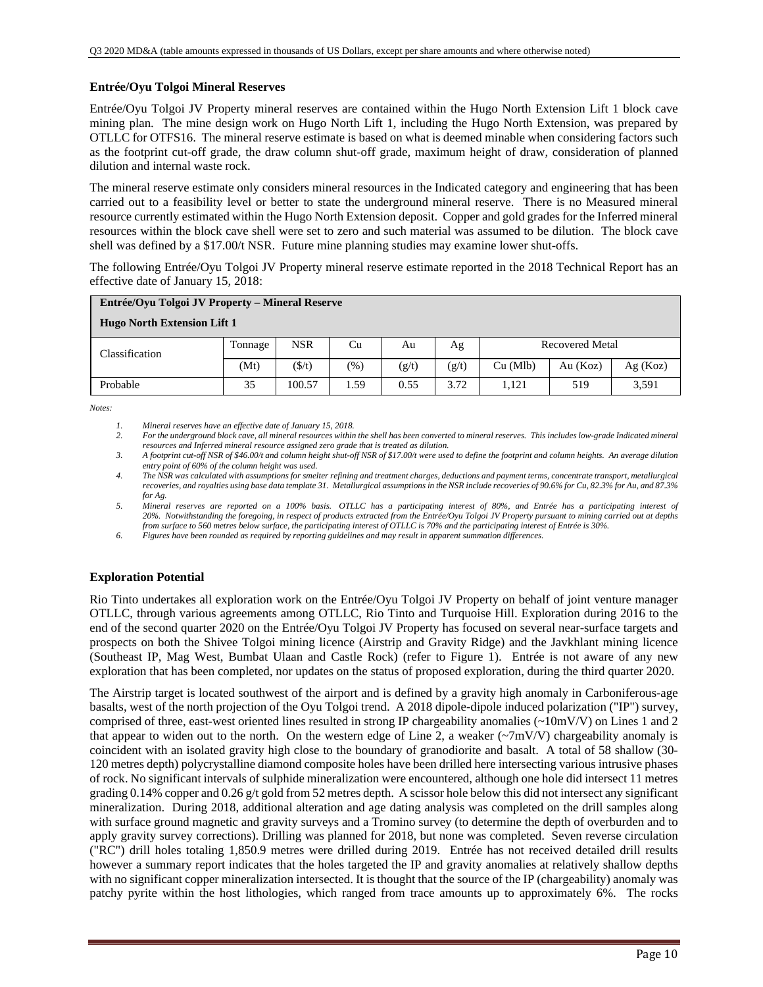## **Entrée/Oyu Tolgoi Mineral Reserves**

Entrée/Oyu Tolgoi JV Property mineral reserves are contained within the Hugo North Extension Lift 1 block cave mining plan. The mine design work on Hugo North Lift 1, including the Hugo North Extension, was prepared by OTLLC for OTFS16. The mineral reserve estimate is based on what is deemed minable when considering factors such as the footprint cut-off grade, the draw column shut-off grade, maximum height of draw, consideration of planned dilution and internal waste rock.

The mineral reserve estimate only considers mineral resources in the Indicated category and engineering that has been carried out to a feasibility level or better to state the underground mineral reserve. There is no Measured mineral resource currently estimated within the Hugo North Extension deposit. Copper and gold grades for the Inferred mineral resources within the block cave shell were set to zero and such material was assumed to be dilution. The block cave shell was defined by a \$17.00/t NSR. Future mine planning studies may examine lower shut-offs.

The following Entrée/Oyu Tolgoi JV Property mineral reserve estimate reported in the 2018 Technical Report has an effective date of January 15, 2018:

| Entrée/Oyu Tolgoi JV Property – Mineral Reserve |         |            |        |       |       |                                 |     |       |  |  |  |
|-------------------------------------------------|---------|------------|--------|-------|-------|---------------------------------|-----|-------|--|--|--|
| <b>Hugo North Extension Lift 1</b>              |         |            |        |       |       |                                 |     |       |  |  |  |
| Classification                                  | Tonnage | <b>NSR</b> | Cu     | Au    | Ag    | Recovered Metal                 |     |       |  |  |  |
|                                                 | (Mt)    | (\$/t)     | (96)   | (g/t) | (g/t) | Au (Koz)<br>Ag(Koz)<br>Cu (Mlb) |     |       |  |  |  |
| Probable                                        | 35      | 100.57     | . . 59 | 0.55  | 3.72  | 1.121                           | 519 | 3,591 |  |  |  |

*Notes:* 

- *2. For the underground block cave, all mineral resources within the shell has been converted to mineral reserves. This includes low-grade Indicated mineral resources and Inferred mineral resource assigned zero grade that is treated as dilution.*
- *3. A footprint cut-off NSR of \$46.00/t and column height shut-off NSR of \$17.00/t were used to define the footprint and column heights. An average dilution entry point of 60% of the column height was used.*
- *4. The NSR was calculated with assumptions for smelter refining and treatment charges, deductions and payment terms, concentrate transport, metallurgical recoveries, and royalties using base data template 31. Metallurgical assumptions in the NSR include recoveries of 90.6% for Cu, 82.3% for Au, and 87.3% for Ag.*

*5. Mineral reserves are reported on a 100% basis. OTLLC has a participating interest of 80%, and Entrée has a participating interest of 20%. Notwithstanding the foregoing, in respect of products extracted from the Entrée/Oyu Tolgoi JV Property pursuant to mining carried out at depths from surface to 560 metres below surface, the participating interest of OTLLC is 70% and the participating interest of Entrée is 30%.* 

*6. Figures have been rounded as required by reporting guidelines and may result in apparent summation differences.* 

#### **Exploration Potential**

Rio Tinto undertakes all exploration work on the Entrée/Oyu Tolgoi JV Property on behalf of joint venture manager OTLLC, through various agreements among OTLLC, Rio Tinto and Turquoise Hill. Exploration during 2016 to the end of the second quarter 2020 on the Entrée/Oyu Tolgoi JV Property has focused on several near-surface targets and prospects on both the Shivee Tolgoi mining licence (Airstrip and Gravity Ridge) and the Javkhlant mining licence (Southeast IP, Mag West, Bumbat Ulaan and Castle Rock) (refer to Figure 1). Entrée is not aware of any new exploration that has been completed, nor updates on the status of proposed exploration, during the third quarter 2020.

The Airstrip target is located southwest of the airport and is defined by a gravity high anomaly in Carboniferous-age basalts, west of the north projection of the Oyu Tolgoi trend. A 2018 dipole-dipole induced polarization ("IP") survey, comprised of three, east-west oriented lines resulted in strong IP chargeability anomalies (~10mV/V) on Lines 1 and 2 that appear to widen out to the north. On the western edge of Line 2, a weaker  $(\sim 7 \text{mV/V})$  chargeability anomaly is coincident with an isolated gravity high close to the boundary of granodiorite and basalt. A total of 58 shallow (30- 120 metres depth) polycrystalline diamond composite holes have been drilled here intersecting various intrusive phases of rock. No significant intervals of sulphide mineralization were encountered, although one hole did intersect 11 metres grading 0.14% copper and 0.26 g/t gold from 52 metres depth. A scissor hole below this did not intersect any significant mineralization. During 2018, additional alteration and age dating analysis was completed on the drill samples along with surface ground magnetic and gravity surveys and a Tromino survey (to determine the depth of overburden and to apply gravity survey corrections). Drilling was planned for 2018, but none was completed. Seven reverse circulation ("RC") drill holes totaling 1,850.9 metres were drilled during 2019. Entrée has not received detailed drill results however a summary report indicates that the holes targeted the IP and gravity anomalies at relatively shallow depths with no significant copper mineralization intersected. It is thought that the source of the IP (chargeability) anomaly was patchy pyrite within the host lithologies, which ranged from trace amounts up to approximately 6%. The rocks

*<sup>1.</sup> Mineral reserves have an effective date of January 15, 2018.*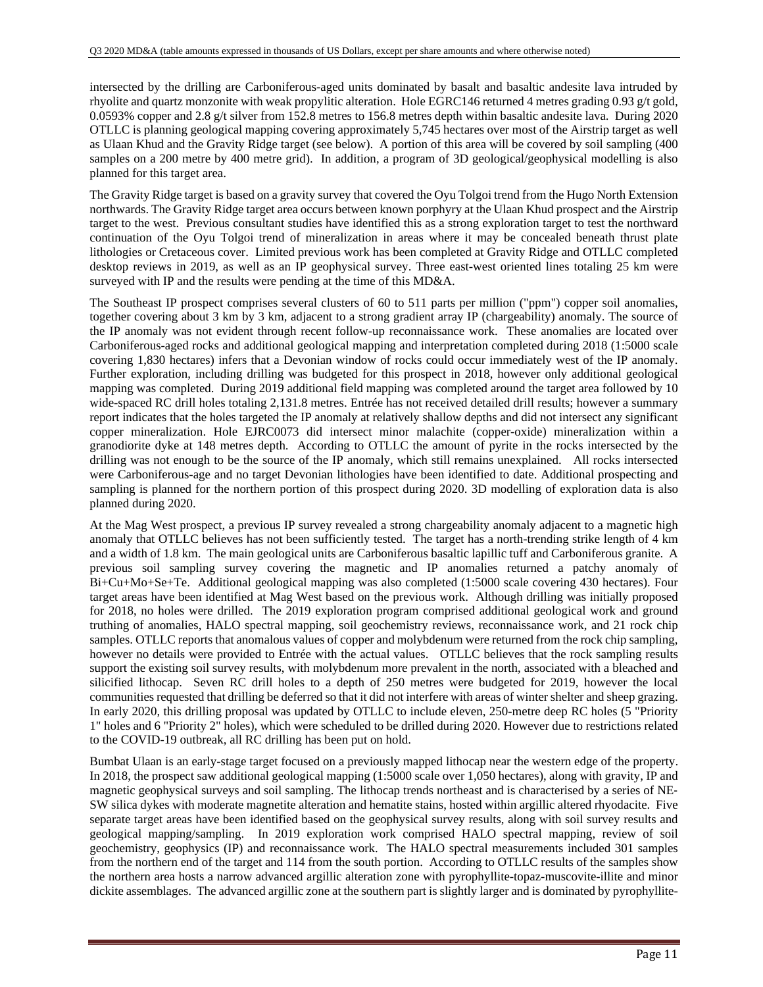intersected by the drilling are Carboniferous-aged units dominated by basalt and basaltic andesite lava intruded by rhyolite and quartz monzonite with weak propylitic alteration. Hole EGRC146 returned 4 metres grading 0.93 g/t gold, 0.0593% copper and 2.8 g/t silver from 152.8 metres to 156.8 metres depth within basaltic andesite lava. During 2020 OTLLC is planning geological mapping covering approximately 5,745 hectares over most of the Airstrip target as well as Ulaan Khud and the Gravity Ridge target (see below). A portion of this area will be covered by soil sampling (400 samples on a 200 metre by 400 metre grid). In addition, a program of 3D geological/geophysical modelling is also planned for this target area.

The Gravity Ridge target is based on a gravity survey that covered the Oyu Tolgoi trend from the Hugo North Extension northwards. The Gravity Ridge target area occurs between known porphyry at the Ulaan Khud prospect and the Airstrip target to the west. Previous consultant studies have identified this as a strong exploration target to test the northward continuation of the Oyu Tolgoi trend of mineralization in areas where it may be concealed beneath thrust plate lithologies or Cretaceous cover. Limited previous work has been completed at Gravity Ridge and OTLLC completed desktop reviews in 2019, as well as an IP geophysical survey. Three east-west oriented lines totaling 25 km were surveyed with IP and the results were pending at the time of this MD&A.

The Southeast IP prospect comprises several clusters of 60 to 511 parts per million ("ppm") copper soil anomalies, together covering about 3 km by 3 km, adjacent to a strong gradient array IP (chargeability) anomaly. The source of the IP anomaly was not evident through recent follow-up reconnaissance work. These anomalies are located over Carboniferous-aged rocks and additional geological mapping and interpretation completed during 2018 (1:5000 scale covering 1,830 hectares) infers that a Devonian window of rocks could occur immediately west of the IP anomaly. Further exploration, including drilling was budgeted for this prospect in 2018, however only additional geological mapping was completed. During 2019 additional field mapping was completed around the target area followed by 10 wide-spaced RC drill holes totaling 2,131.8 metres. Entrée has not received detailed drill results; however a summary report indicates that the holes targeted the IP anomaly at relatively shallow depths and did not intersect any significant copper mineralization. Hole EJRC0073 did intersect minor malachite (copper-oxide) mineralization within a granodiorite dyke at 148 metres depth. According to OTLLC the amount of pyrite in the rocks intersected by the drilling was not enough to be the source of the IP anomaly, which still remains unexplained. All rocks intersected were Carboniferous-age and no target Devonian lithologies have been identified to date. Additional prospecting and sampling is planned for the northern portion of this prospect during 2020. 3D modelling of exploration data is also planned during 2020.

At the Mag West prospect, a previous IP survey revealed a strong chargeability anomaly adjacent to a magnetic high anomaly that OTLLC believes has not been sufficiently tested. The target has a north-trending strike length of 4 km and a width of 1.8 km. The main geological units are Carboniferous basaltic lapillic tuff and Carboniferous granite. A previous soil sampling survey covering the magnetic and IP anomalies returned a patchy anomaly of Bi+Cu+Mo+Se+Te. Additional geological mapping was also completed (1:5000 scale covering 430 hectares). Four target areas have been identified at Mag West based on the previous work. Although drilling was initially proposed for 2018, no holes were drilled. The 2019 exploration program comprised additional geological work and ground truthing of anomalies, HALO spectral mapping, soil geochemistry reviews, reconnaissance work, and 21 rock chip samples. OTLLC reports that anomalous values of copper and molybdenum were returned from the rock chip sampling, however no details were provided to Entrée with the actual values. OTLLC believes that the rock sampling results support the existing soil survey results, with molybdenum more prevalent in the north, associated with a bleached and silicified lithocap. Seven RC drill holes to a depth of 250 metres were budgeted for 2019, however the local communities requested that drilling be deferred so that it did not interfere with areas of winter shelter and sheep grazing. In early 2020, this drilling proposal was updated by OTLLC to include eleven, 250-metre deep RC holes (5 "Priority 1" holes and 6 "Priority 2" holes), which were scheduled to be drilled during 2020. However due to restrictions related to the COVID-19 outbreak, all RC drilling has been put on hold.

Bumbat Ulaan is an early-stage target focused on a previously mapped lithocap near the western edge of the property. In 2018, the prospect saw additional geological mapping (1:5000 scale over 1,050 hectares), along with gravity, IP and magnetic geophysical surveys and soil sampling. The lithocap trends northeast and is characterised by a series of NE‐ SW silica dykes with moderate magnetite alteration and hematite stains, hosted within argillic altered rhyodacite. Five separate target areas have been identified based on the geophysical survey results, along with soil survey results and geological mapping/sampling. In 2019 exploration work comprised HALO spectral mapping, review of soil geochemistry, geophysics (IP) and reconnaissance work. The HALO spectral measurements included 301 samples from the northern end of the target and 114 from the south portion. According to OTLLC results of the samples show the northern area hosts a narrow advanced argillic alteration zone with pyrophyllite-topaz-muscovite-illite and minor dickite assemblages. The advanced argillic zone at the southern part is slightly larger and is dominated by pyrophyllite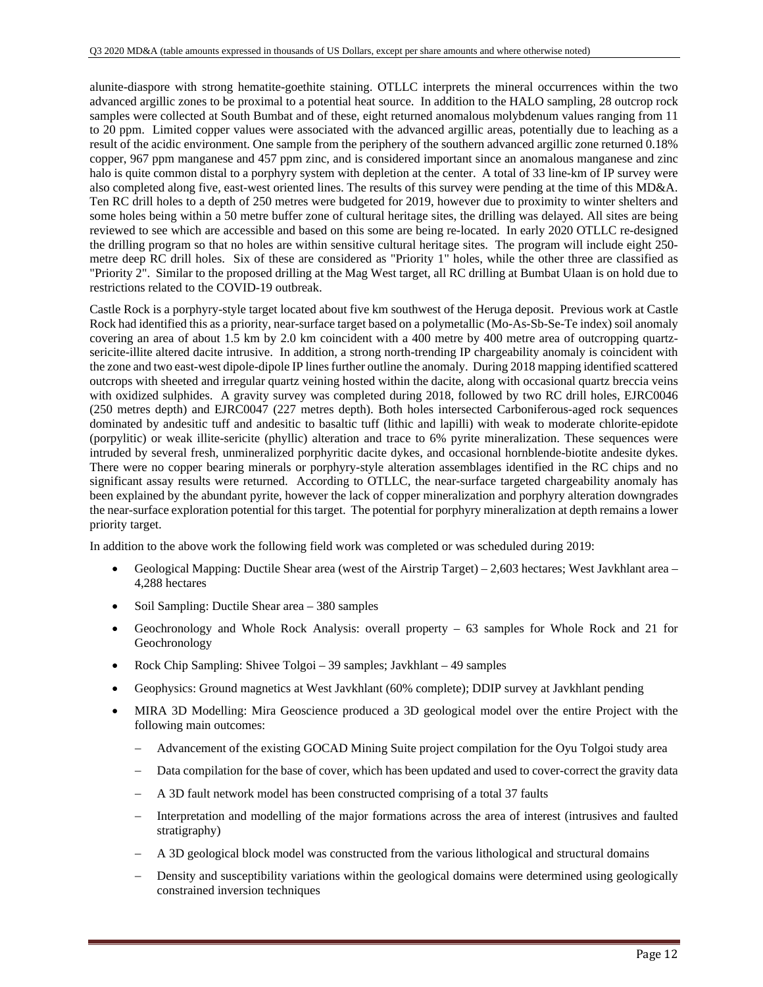alunite-diaspore with strong hematite-goethite staining. OTLLC interprets the mineral occurrences within the two advanced argillic zones to be proximal to a potential heat source. In addition to the HALO sampling, 28 outcrop rock samples were collected at South Bumbat and of these, eight returned anomalous molybdenum values ranging from 11 to 20 ppm. Limited copper values were associated with the advanced argillic areas, potentially due to leaching as a result of the acidic environment. One sample from the periphery of the southern advanced argillic zone returned 0.18% copper, 967 ppm manganese and 457 ppm zinc, and is considered important since an anomalous manganese and zinc halo is quite common distal to a porphyry system with depletion at the center. A total of 33 line-km of IP survey were also completed along five, east-west oriented lines. The results of this survey were pending at the time of this MD&A. Ten RC drill holes to a depth of 250 metres were budgeted for 2019, however due to proximity to winter shelters and some holes being within a 50 metre buffer zone of cultural heritage sites, the drilling was delayed. All sites are being reviewed to see which are accessible and based on this some are being re-located. In early 2020 OTLLC re-designed the drilling program so that no holes are within sensitive cultural heritage sites. The program will include eight 250 metre deep RC drill holes. Six of these are considered as "Priority 1" holes, while the other three are classified as "Priority 2". Similar to the proposed drilling at the Mag West target, all RC drilling at Bumbat Ulaan is on hold due to restrictions related to the COVID-19 outbreak.

Castle Rock is a porphyry-style target located about five km southwest of the Heruga deposit. Previous work at Castle Rock had identified this as a priority, near-surface target based on a polymetallic (Mo-As-Sb-Se-Te index) soil anomaly covering an area of about 1.5 km by 2.0 km coincident with a 400 metre by 400 metre area of outcropping quartzsericite-illite altered dacite intrusive. In addition, a strong north-trending IP chargeability anomaly is coincident with the zone and two east-west dipole-dipole IP lines further outline the anomaly. During 2018 mapping identified scattered outcrops with sheeted and irregular quartz veining hosted within the dacite, along with occasional quartz breccia veins with oxidized sulphides. A gravity survey was completed during 2018, followed by two RC drill holes, EJRC0046 (250 metres depth) and EJRC0047 (227 metres depth). Both holes intersected Carboniferous-aged rock sequences dominated by andesitic tuff and andesitic to basaltic tuff (lithic and lapilli) with weak to moderate chlorite-epidote (porpylitic) or weak illite-sericite (phyllic) alteration and trace to 6% pyrite mineralization. These sequences were intruded by several fresh, unmineralized porphyritic dacite dykes, and occasional hornblende-biotite andesite dykes. There were no copper bearing minerals or porphyry-style alteration assemblages identified in the RC chips and no significant assay results were returned. According to OTLLC, the near-surface targeted chargeability anomaly has been explained by the abundant pyrite, however the lack of copper mineralization and porphyry alteration downgrades the near-surface exploration potential for this target. The potential for porphyry mineralization at depth remains a lower priority target.

In addition to the above work the following field work was completed or was scheduled during 2019:

- Geological Mapping: Ductile Shear area (west of the Airstrip Target) 2,603 hectares; West Javkhlant area 4,288 hectares
- Soil Sampling: Ductile Shear area 380 samples
- Geochronology and Whole Rock Analysis: overall property 63 samples for Whole Rock and 21 for Geochronology
- Rock Chip Sampling: Shivee Tolgoi 39 samples; Javkhlant 49 samples
- Geophysics: Ground magnetics at West Javkhlant (60% complete); DDIP survey at Javkhlant pending
- MIRA 3D Modelling: Mira Geoscience produced a 3D geological model over the entire Project with the following main outcomes:
	- Advancement of the existing GOCAD Mining Suite project compilation for the Oyu Tolgoi study area
	- Data compilation for the base of cover, which has been updated and used to cover-correct the gravity data
	- A 3D fault network model has been constructed comprising of a total 37 faults
	- Interpretation and modelling of the major formations across the area of interest (intrusives and faulted stratigraphy)
	- A 3D geological block model was constructed from the various lithological and structural domains
	- Density and susceptibility variations within the geological domains were determined using geologically constrained inversion techniques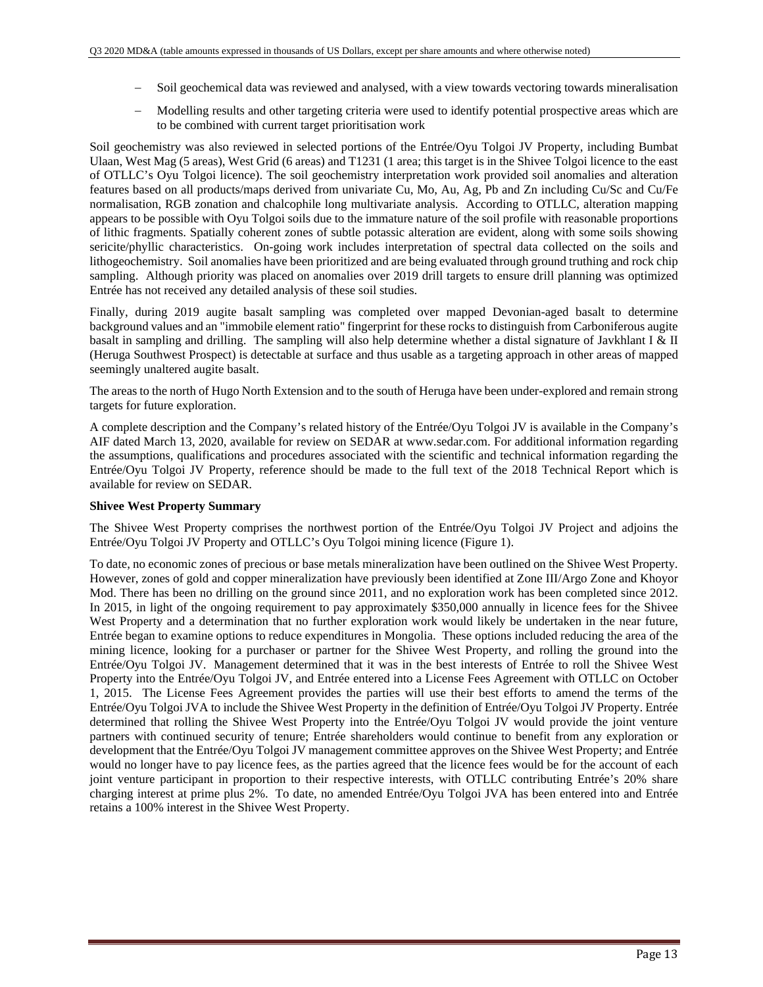- Soil geochemical data was reviewed and analysed, with a view towards vectoring towards mineralisation
- Modelling results and other targeting criteria were used to identify potential prospective areas which are to be combined with current target prioritisation work

Soil geochemistry was also reviewed in selected portions of the Entrée/Oyu Tolgoi JV Property, including Bumbat Ulaan, West Mag (5 areas), West Grid (6 areas) and T1231 (1 area; this target is in the Shivee Tolgoi licence to the east of OTLLC's Oyu Tolgoi licence). The soil geochemistry interpretation work provided soil anomalies and alteration features based on all products/maps derived from univariate Cu, Mo, Au, Ag, Pb and Zn including Cu/Sc and Cu/Fe normalisation, RGB zonation and chalcophile long multivariate analysis. According to OTLLC, alteration mapping appears to be possible with Oyu Tolgoi soils due to the immature nature of the soil profile with reasonable proportions of lithic fragments. Spatially coherent zones of subtle potassic alteration are evident, along with some soils showing sericite/phyllic characteristics. On-going work includes interpretation of spectral data collected on the soils and lithogeochemistry. Soil anomalies have been prioritized and are being evaluated through ground truthing and rock chip sampling. Although priority was placed on anomalies over 2019 drill targets to ensure drill planning was optimized Entrée has not received any detailed analysis of these soil studies.

Finally, during 2019 augite basalt sampling was completed over mapped Devonian-aged basalt to determine background values and an "immobile element ratio" fingerprint for these rocks to distinguish from Carboniferous augite basalt in sampling and drilling. The sampling will also help determine whether a distal signature of Javkhlant I & II (Heruga Southwest Prospect) is detectable at surface and thus usable as a targeting approach in other areas of mapped seemingly unaltered augite basalt.

The areas to the north of Hugo North Extension and to the south of Heruga have been under-explored and remain strong targets for future exploration.

A complete description and the Company's related history of the Entrée/Oyu Tolgoi JV is available in the Company's AIF dated March 13, 2020, available for review on SEDAR at www.sedar.com. For additional information regarding the assumptions, qualifications and procedures associated with the scientific and technical information regarding the Entrée/Oyu Tolgoi JV Property, reference should be made to the full text of the 2018 Technical Report which is available for review on SEDAR.

## **Shivee West Property Summary**

The Shivee West Property comprises the northwest portion of the Entrée/Oyu Tolgoi JV Project and adjoins the Entrée/Oyu Tolgoi JV Property and OTLLC's Oyu Tolgoi mining licence (Figure 1).

To date, no economic zones of precious or base metals mineralization have been outlined on the Shivee West Property. However, zones of gold and copper mineralization have previously been identified at Zone III/Argo Zone and Khoyor Mod. There has been no drilling on the ground since 2011, and no exploration work has been completed since 2012. In 2015, in light of the ongoing requirement to pay approximately \$350,000 annually in licence fees for the Shivee West Property and a determination that no further exploration work would likely be undertaken in the near future, Entrée began to examine options to reduce expenditures in Mongolia. These options included reducing the area of the mining licence, looking for a purchaser or partner for the Shivee West Property, and rolling the ground into the Entrée/Oyu Tolgoi JV. Management determined that it was in the best interests of Entrée to roll the Shivee West Property into the Entrée/Oyu Tolgoi JV, and Entrée entered into a License Fees Agreement with OTLLC on October 1, 2015. The License Fees Agreement provides the parties will use their best efforts to amend the terms of the Entrée/Oyu Tolgoi JVA to include the Shivee West Property in the definition of Entrée/Oyu Tolgoi JV Property. Entrée determined that rolling the Shivee West Property into the Entrée/Oyu Tolgoi JV would provide the joint venture partners with continued security of tenure; Entrée shareholders would continue to benefit from any exploration or development that the Entrée/Oyu Tolgoi JV management committee approves on the Shivee West Property; and Entrée would no longer have to pay licence fees, as the parties agreed that the licence fees would be for the account of each joint venture participant in proportion to their respective interests, with OTLLC contributing Entrée's 20% share charging interest at prime plus 2%. To date, no amended Entrée/Oyu Tolgoi JVA has been entered into and Entrée retains a 100% interest in the Shivee West Property.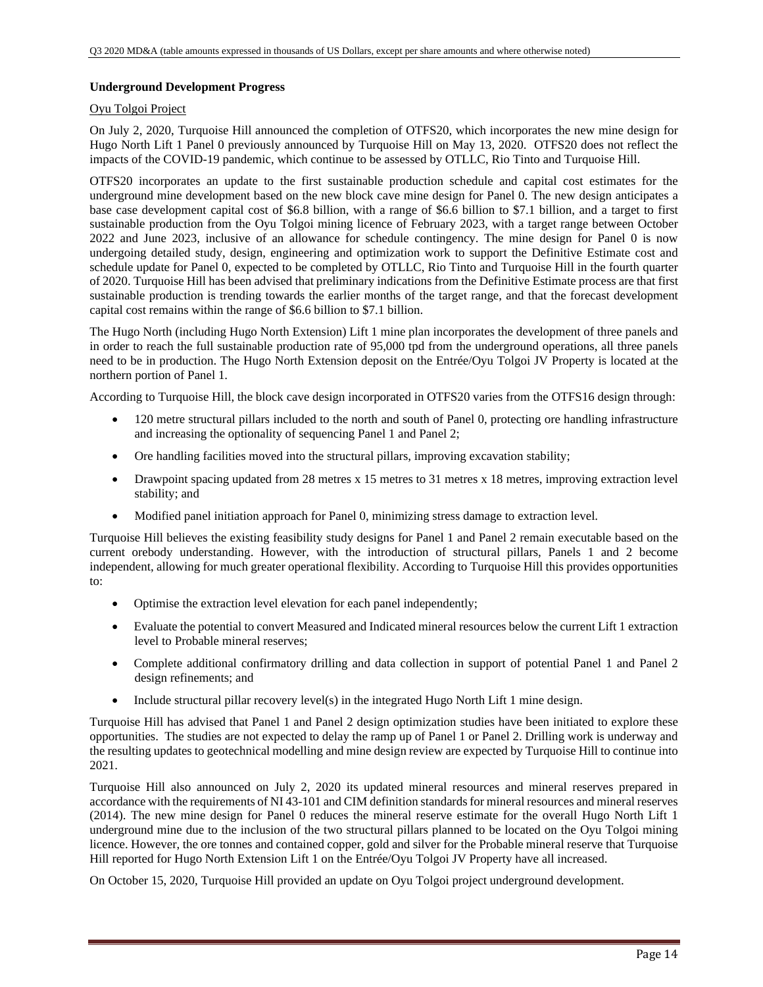## **Underground Development Progress**

### Oyu Tolgoi Project

On July 2, 2020, Turquoise Hill announced the completion of OTFS20, which incorporates the new mine design for Hugo North Lift 1 Panel 0 previously announced by Turquoise Hill on May 13, 2020. OTFS20 does not reflect the impacts of the COVID-19 pandemic, which continue to be assessed by OTLLC, Rio Tinto and Turquoise Hill.

OTFS20 incorporates an update to the first sustainable production schedule and capital cost estimates for the underground mine development based on the new block cave mine design for Panel 0. The new design anticipates a base case development capital cost of \$6.8 billion, with a range of \$6.6 billion to \$7.1 billion, and a target to first sustainable production from the Oyu Tolgoi mining licence of February 2023, with a target range between October 2022 and June 2023, inclusive of an allowance for schedule contingency. The mine design for Panel 0 is now undergoing detailed study, design, engineering and optimization work to support the Definitive Estimate cost and schedule update for Panel 0, expected to be completed by OTLLC, Rio Tinto and Turquoise Hill in the fourth quarter of 2020. Turquoise Hill has been advised that preliminary indications from the Definitive Estimate process are that first sustainable production is trending towards the earlier months of the target range, and that the forecast development capital cost remains within the range of \$6.6 billion to \$7.1 billion.

The Hugo North (including Hugo North Extension) Lift 1 mine plan incorporates the development of three panels and in order to reach the full sustainable production rate of 95,000 tpd from the underground operations, all three panels need to be in production. The Hugo North Extension deposit on the Entrée/Oyu Tolgoi JV Property is located at the northern portion of Panel 1.

According to Turquoise Hill, the block cave design incorporated in OTFS20 varies from the OTFS16 design through:

- 120 metre structural pillars included to the north and south of Panel 0, protecting ore handling infrastructure and increasing the optionality of sequencing Panel 1 and Panel 2;
- Ore handling facilities moved into the structural pillars, improving excavation stability;
- Drawpoint spacing updated from 28 metres x 15 metres to 31 metres x 18 metres, improving extraction level stability; and
- Modified panel initiation approach for Panel 0, minimizing stress damage to extraction level.

Turquoise Hill believes the existing feasibility study designs for Panel 1 and Panel 2 remain executable based on the current orebody understanding. However, with the introduction of structural pillars, Panels 1 and 2 become independent, allowing for much greater operational flexibility. According to Turquoise Hill this provides opportunities to:

- Optimise the extraction level elevation for each panel independently;
- Evaluate the potential to convert Measured and Indicated mineral resources below the current Lift 1 extraction level to Probable mineral reserves;
- Complete additional confirmatory drilling and data collection in support of potential Panel 1 and Panel 2 design refinements; and
- Include structural pillar recovery level(s) in the integrated Hugo North Lift 1 mine design.

Turquoise Hill has advised that Panel 1 and Panel 2 design optimization studies have been initiated to explore these opportunities. The studies are not expected to delay the ramp up of Panel 1 or Panel 2. Drilling work is underway and the resulting updates to geotechnical modelling and mine design review are expected by Turquoise Hill to continue into 2021.

Turquoise Hill also announced on July 2, 2020 its updated mineral resources and mineral reserves prepared in accordance with the requirements of NI 43-101 and CIM definition standards for mineral resources and mineral reserves (2014). The new mine design for Panel 0 reduces the mineral reserve estimate for the overall Hugo North Lift 1 underground mine due to the inclusion of the two structural pillars planned to be located on the Oyu Tolgoi mining licence. However, the ore tonnes and contained copper, gold and silver for the Probable mineral reserve that Turquoise Hill reported for Hugo North Extension Lift 1 on the Entrée/Oyu Tolgoi JV Property have all increased.

On October 15, 2020, Turquoise Hill provided an update on Oyu Tolgoi project underground development.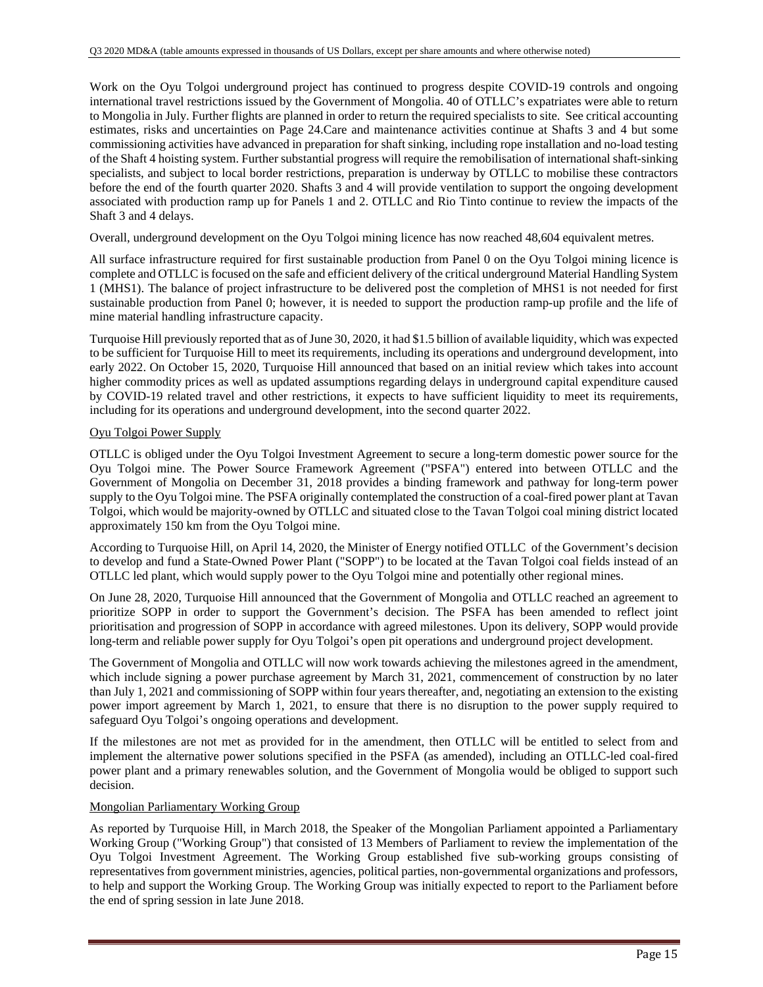Work on the Oyu Tolgoi underground project has continued to progress despite COVID-19 controls and ongoing international travel restrictions issued by the Government of Mongolia. 40 of OTLLC's expatriates were able to return to Mongolia in July. Further flights are planned in order to return the required specialists to site. See critical accounting estimates, risks and uncertainties on Page 24.Care and maintenance activities continue at Shafts 3 and 4 but some commissioning activities have advanced in preparation for shaft sinking, including rope installation and no-load testing of the Shaft 4 hoisting system. Further substantial progress will require the remobilisation of international shaft-sinking specialists, and subject to local border restrictions, preparation is underway by OTLLC to mobilise these contractors before the end of the fourth quarter 2020. Shafts 3 and 4 will provide ventilation to support the ongoing development associated with production ramp up for Panels 1 and 2. OTLLC and Rio Tinto continue to review the impacts of the Shaft 3 and 4 delays.

Overall, underground development on the Oyu Tolgoi mining licence has now reached 48,604 equivalent metres.

All surface infrastructure required for first sustainable production from Panel 0 on the Oyu Tolgoi mining licence is complete and OTLLC is focused on the safe and efficient delivery of the critical underground Material Handling System 1 (MHS1). The balance of project infrastructure to be delivered post the completion of MHS1 is not needed for first sustainable production from Panel 0; however, it is needed to support the production ramp-up profile and the life of mine material handling infrastructure capacity.

Turquoise Hill previously reported that as of June 30, 2020, it had \$1.5 billion of available liquidity, which was expected to be sufficient for Turquoise Hill to meet its requirements, including its operations and underground development, into early 2022. On October 15, 2020, Turquoise Hill announced that based on an initial review which takes into account higher commodity prices as well as updated assumptions regarding delays in underground capital expenditure caused by COVID-19 related travel and other restrictions, it expects to have sufficient liquidity to meet its requirements, including for its operations and underground development, into the second quarter 2022.

## Oyu Tolgoi Power Supply

OTLLC is obliged under the Oyu Tolgoi Investment Agreement to secure a long-term domestic power source for the Oyu Tolgoi mine. The Power Source Framework Agreement ("PSFA") entered into between OTLLC and the Government of Mongolia on December 31, 2018 provides a binding framework and pathway for long-term power supply to the Oyu Tolgoi mine. The PSFA originally contemplated the construction of a coal-fired power plant at Tavan Tolgoi, which would be majority-owned by OTLLC and situated close to the Tavan Tolgoi coal mining district located approximately 150 km from the Oyu Tolgoi mine.

According to Turquoise Hill, on April 14, 2020, the Minister of Energy notified OTLLC of the Government's decision to develop and fund a State-Owned Power Plant ("SOPP") to be located at the Tavan Tolgoi coal fields instead of an OTLLC led plant, which would supply power to the Oyu Tolgoi mine and potentially other regional mines.

On June 28, 2020, Turquoise Hill announced that the Government of Mongolia and OTLLC reached an agreement to prioritize SOPP in order to support the Government's decision. The PSFA has been amended to reflect joint prioritisation and progression of SOPP in accordance with agreed milestones. Upon its delivery, SOPP would provide long-term and reliable power supply for Oyu Tolgoi's open pit operations and underground project development.

The Government of Mongolia and OTLLC will now work towards achieving the milestones agreed in the amendment, which include signing a power purchase agreement by March 31, 2021, commencement of construction by no later than July 1, 2021 and commissioning of SOPP within four years thereafter, and, negotiating an extension to the existing power import agreement by March 1, 2021, to ensure that there is no disruption to the power supply required to safeguard Oyu Tolgoi's ongoing operations and development.

If the milestones are not met as provided for in the amendment, then OTLLC will be entitled to select from and implement the alternative power solutions specified in the PSFA (as amended), including an OTLLC-led coal-fired power plant and a primary renewables solution, and the Government of Mongolia would be obliged to support such decision.

## Mongolian Parliamentary Working Group

As reported by Turquoise Hill, in March 2018, the Speaker of the Mongolian Parliament appointed a Parliamentary Working Group ("Working Group") that consisted of 13 Members of Parliament to review the implementation of the Oyu Tolgoi Investment Agreement. The Working Group established five sub-working groups consisting of representatives from government ministries, agencies, political parties, non-governmental organizations and professors, to help and support the Working Group. The Working Group was initially expected to report to the Parliament before the end of spring session in late June 2018.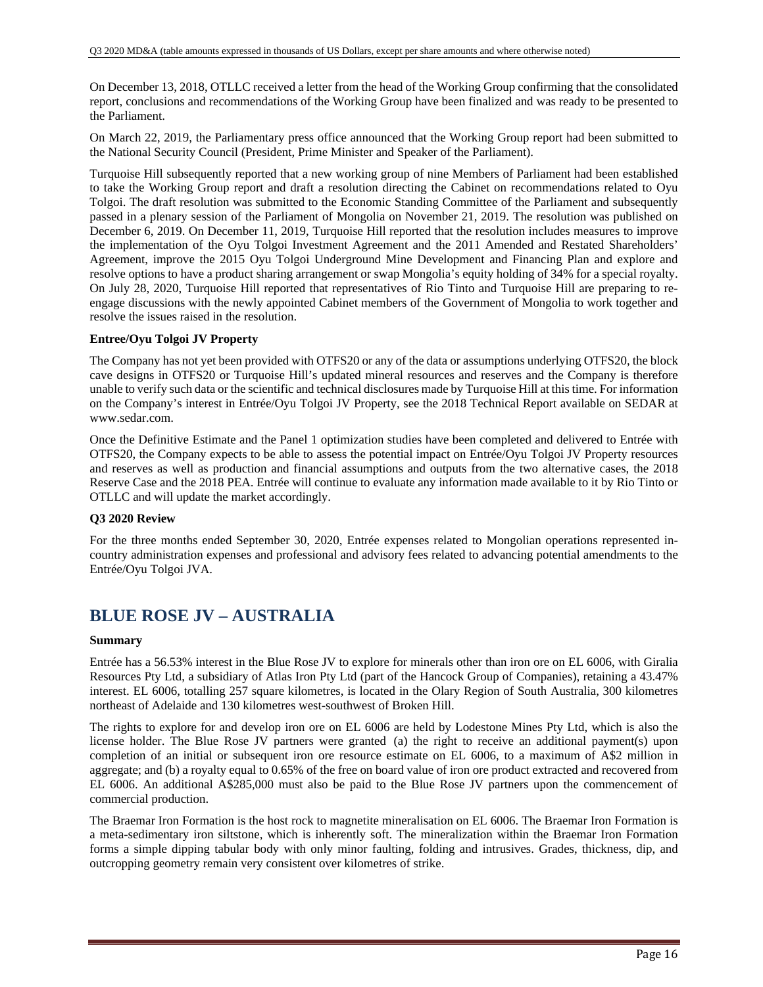On December 13, 2018, OTLLC received a letter from the head of the Working Group confirming that the consolidated report, conclusions and recommendations of the Working Group have been finalized and was ready to be presented to the Parliament.

On March 22, 2019, the Parliamentary press office announced that the Working Group report had been submitted to the National Security Council (President, Prime Minister and Speaker of the Parliament).

Turquoise Hill subsequently reported that a new working group of nine Members of Parliament had been established to take the Working Group report and draft a resolution directing the Cabinet on recommendations related to Oyu Tolgoi. The draft resolution was submitted to the Economic Standing Committee of the Parliament and subsequently passed in a plenary session of the Parliament of Mongolia on November 21, 2019. The resolution was published on December 6, 2019. On December 11, 2019, Turquoise Hill reported that the resolution includes measures to improve the implementation of the Oyu Tolgoi Investment Agreement and the 2011 Amended and Restated Shareholders' Agreement, improve the 2015 Oyu Tolgoi Underground Mine Development and Financing Plan and explore and resolve options to have a product sharing arrangement or swap Mongolia's equity holding of 34% for a special royalty. On July 28, 2020, Turquoise Hill reported that representatives of Rio Tinto and Turquoise Hill are preparing to reengage discussions with the newly appointed Cabinet members of the Government of Mongolia to work together and resolve the issues raised in the resolution.

## **Entree/Oyu Tolgoi JV Property**

The Company has not yet been provided with OTFS20 or any of the data or assumptions underlying OTFS20, the block cave designs in OTFS20 or Turquoise Hill's updated mineral resources and reserves and the Company is therefore unable to verify such data or the scientific and technical disclosures made by Turquoise Hill at this time. For information on the Company's interest in Entrée/Oyu Tolgoi JV Property, see the 2018 Technical Report available on SEDAR at www.sedar.com.

Once the Definitive Estimate and the Panel 1 optimization studies have been completed and delivered to Entrée with OTFS20, the Company expects to be able to assess the potential impact on Entrée/Oyu Tolgoi JV Property resources and reserves as well as production and financial assumptions and outputs from the two alternative cases, the 2018 Reserve Case and the 2018 PEA. Entrée will continue to evaluate any information made available to it by Rio Tinto or OTLLC and will update the market accordingly.

#### **Q3 2020 Review**

For the three months ended September 30, 2020, Entrée expenses related to Mongolian operations represented incountry administration expenses and professional and advisory fees related to advancing potential amendments to the Entrée/Oyu Tolgoi JVA.

# **BLUE ROSE JV – AUSTRALIA**

#### **Summary**

Entrée has a 56.53% interest in the Blue Rose JV to explore for minerals other than iron ore on EL 6006, with Giralia Resources Pty Ltd, a subsidiary of Atlas Iron Pty Ltd (part of the Hancock Group of Companies), retaining a 43.47% interest. EL 6006, totalling 257 square kilometres, is located in the Olary Region of South Australia, 300 kilometres northeast of Adelaide and 130 kilometres west-southwest of Broken Hill.

The rights to explore for and develop iron ore on EL 6006 are held by Lodestone Mines Pty Ltd, which is also the license holder. The Blue Rose JV partners were granted (a) the right to receive an additional payment(s) upon completion of an initial or subsequent iron ore resource estimate on EL 6006, to a maximum of A\$2 million in aggregate; and (b) a royalty equal to 0.65% of the free on board value of iron ore product extracted and recovered from EL 6006. An additional A\$285,000 must also be paid to the Blue Rose JV partners upon the commencement of commercial production.

The Braemar Iron Formation is the host rock to magnetite mineralisation on EL 6006. The Braemar Iron Formation is a meta-sedimentary iron siltstone, which is inherently soft. The mineralization within the Braemar Iron Formation forms a simple dipping tabular body with only minor faulting, folding and intrusives. Grades, thickness, dip, and outcropping geometry remain very consistent over kilometres of strike.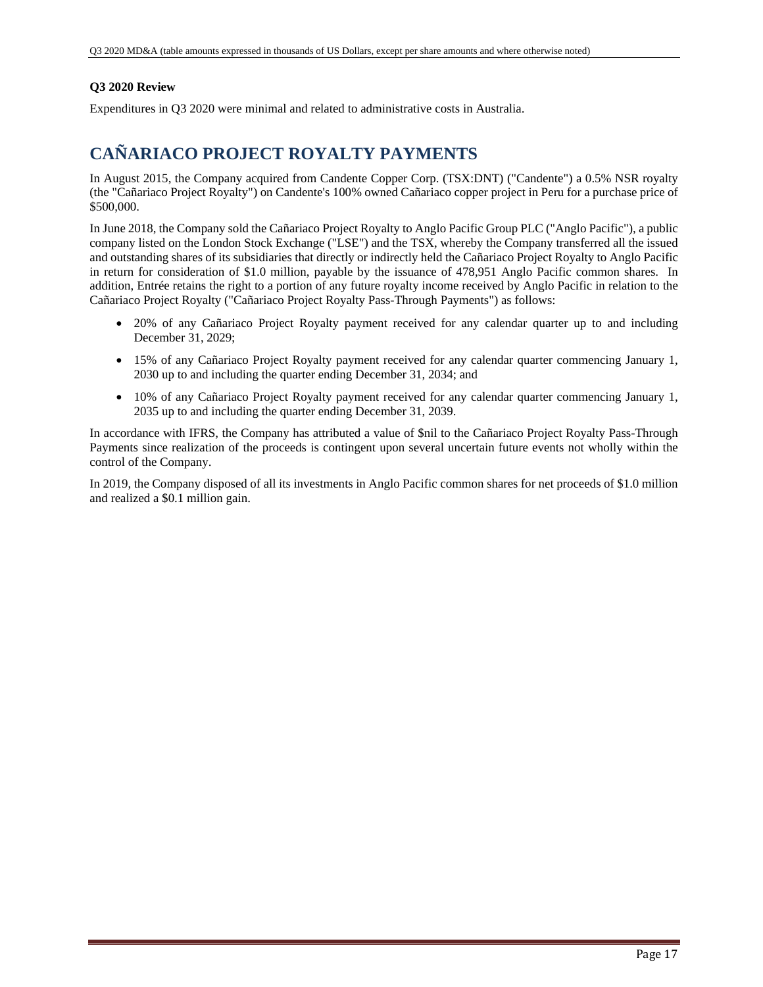## **Q3 2020 Review**

Expenditures in Q3 2020 were minimal and related to administrative costs in Australia.

## **CAÑARIACO PROJECT ROYALTY PAYMENTS**

In August 2015, the Company acquired from Candente Copper Corp. (TSX:DNT) ("Candente") a 0.5% NSR royalty (the "Cañariaco Project Royalty") on Candente's 100% owned Cañariaco copper project in Peru for a purchase price of \$500,000.

In June 2018, the Company sold the Cañariaco Project Royalty to Anglo Pacific Group PLC ("Anglo Pacific"), a public company listed on the London Stock Exchange ("LSE") and the TSX, whereby the Company transferred all the issued and outstanding shares of its subsidiaries that directly or indirectly held the Cañariaco Project Royalty to Anglo Pacific in return for consideration of \$1.0 million, payable by the issuance of 478,951 Anglo Pacific common shares. In addition, Entrée retains the right to a portion of any future royalty income received by Anglo Pacific in relation to the Cañariaco Project Royalty ("Cañariaco Project Royalty Pass-Through Payments") as follows:

- 20% of any Cañariaco Project Royalty payment received for any calendar quarter up to and including December 31, 2029;
- 15% of any Cañariaco Project Royalty payment received for any calendar quarter commencing January 1, 2030 up to and including the quarter ending December 31, 2034; and
- 10% of any Cañariaco Project Royalty payment received for any calendar quarter commencing January 1, 2035 up to and including the quarter ending December 31, 2039.

In accordance with IFRS, the Company has attributed a value of \$nil to the Cañariaco Project Royalty Pass-Through Payments since realization of the proceeds is contingent upon several uncertain future events not wholly within the control of the Company.

In 2019, the Company disposed of all its investments in Anglo Pacific common shares for net proceeds of \$1.0 million and realized a \$0.1 million gain.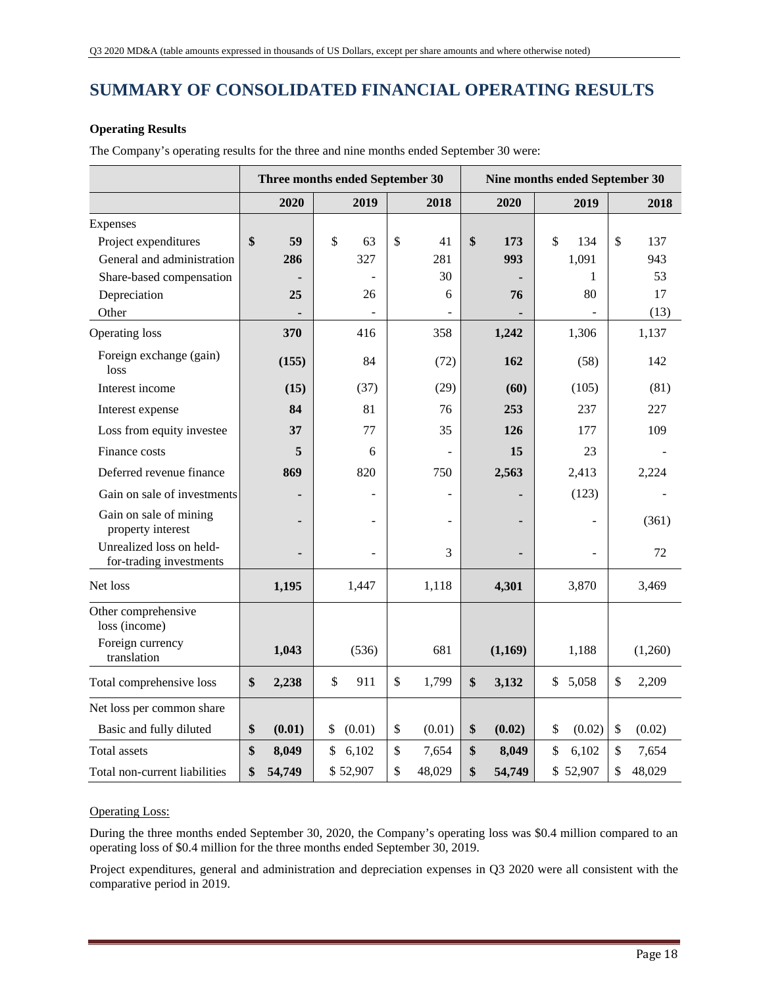# **SUMMARY OF CONSOLIDATED FINANCIAL OPERATING RESULTS**

## **Operating Results**

The Company's operating results for the three and nine months ended September 30 were:

|                                                     |              | Three months ended September 30 |              | Nine months ended September 30 |                      |                                     |  |  |
|-----------------------------------------------------|--------------|---------------------------------|--------------|--------------------------------|----------------------|-------------------------------------|--|--|
|                                                     | 2020         | 2019                            | 2018         | 2020                           | 2019                 | 2018                                |  |  |
| Expenses                                            |              |                                 |              |                                |                      |                                     |  |  |
| Project expenditures                                | \$<br>59     | \$<br>63                        | \$<br>41     | \$<br>173                      | $\mathcal{S}$<br>134 | $\mathcal{S}$<br>137                |  |  |
| General and administration                          | 286          | 327                             | 281          | 993                            | 1,091                | 943                                 |  |  |
| Share-based compensation                            |              |                                 | 30           |                                | 1                    | 53                                  |  |  |
| Depreciation                                        | 25           | 26                              | 6            | 76                             | 80                   | 17                                  |  |  |
| Other                                               |              |                                 |              |                                |                      | (13)                                |  |  |
| Operating loss                                      | 370          | 416                             | 358          | 1,242                          | 1,306                | 1,137                               |  |  |
| Foreign exchange (gain)<br>loss                     | (155)        | 84                              | (72)         | 162                            | (58)                 | 142                                 |  |  |
| Interest income                                     | (15)         | (37)                            | (29)         | (60)                           | (105)                | (81)                                |  |  |
| Interest expense                                    | 84           | 81                              | 76           | 253                            | 237                  | 227                                 |  |  |
| Loss from equity investee                           | 37           | 77                              | 35           | 126                            | 177                  | 109                                 |  |  |
| Finance costs                                       | 5            | 6                               |              | 15                             | 23                   |                                     |  |  |
| Deferred revenue finance                            | 869          | 820                             | 750          | 2,563                          | 2,413                | 2,224                               |  |  |
| Gain on sale of investments                         |              |                                 |              |                                | (123)                |                                     |  |  |
| Gain on sale of mining<br>property interest         |              | ÷,                              |              |                                |                      | (361)                               |  |  |
| Unrealized loss on held-<br>for-trading investments |              | ÷                               | 3            | ٠                              | ۳                    | 72                                  |  |  |
| Net loss                                            | 1,195        | 1,447                           | 1,118        | 4,301                          | 3,870                | 3,469                               |  |  |
| Other comprehensive<br>loss (income)                |              |                                 |              |                                |                      |                                     |  |  |
| Foreign currency<br>translation                     | 1,043        | (536)                           | 681          | (1,169)                        | 1,188                | (1,260)                             |  |  |
| Total comprehensive loss                            | \$<br>2,238  | \$<br>911                       | \$<br>1,799  | \$<br>3,132                    | \$<br>5,058          | \$<br>2,209                         |  |  |
| Net loss per common share                           |              |                                 |              |                                |                      |                                     |  |  |
| Basic and fully diluted                             | \$<br>(0.01) | (0.01)<br>\$                    | \$<br>(0.01) | \$<br>(0.02)                   | \$<br>(0.02)         | $\boldsymbol{\mathsf{S}}$<br>(0.02) |  |  |
| <b>Total assets</b>                                 | \$<br>8,049  | \$<br>6,102                     | \$<br>7,654  | \$<br>8,049                    | \$<br>6,102          | $\mathcal{S}$<br>7,654              |  |  |
| Total non-current liabilities                       | 54,749<br>\$ | \$52,907                        | \$<br>48,029 | \$<br>54,749                   | \$52,907             | \$<br>48,029                        |  |  |

## Operating Loss:

During the three months ended September 30, 2020, the Company's operating loss was \$0.4 million compared to an operating loss of \$0.4 million for the three months ended September 30, 2019.

Project expenditures, general and administration and depreciation expenses in Q3 2020 were all consistent with the comparative period in 2019.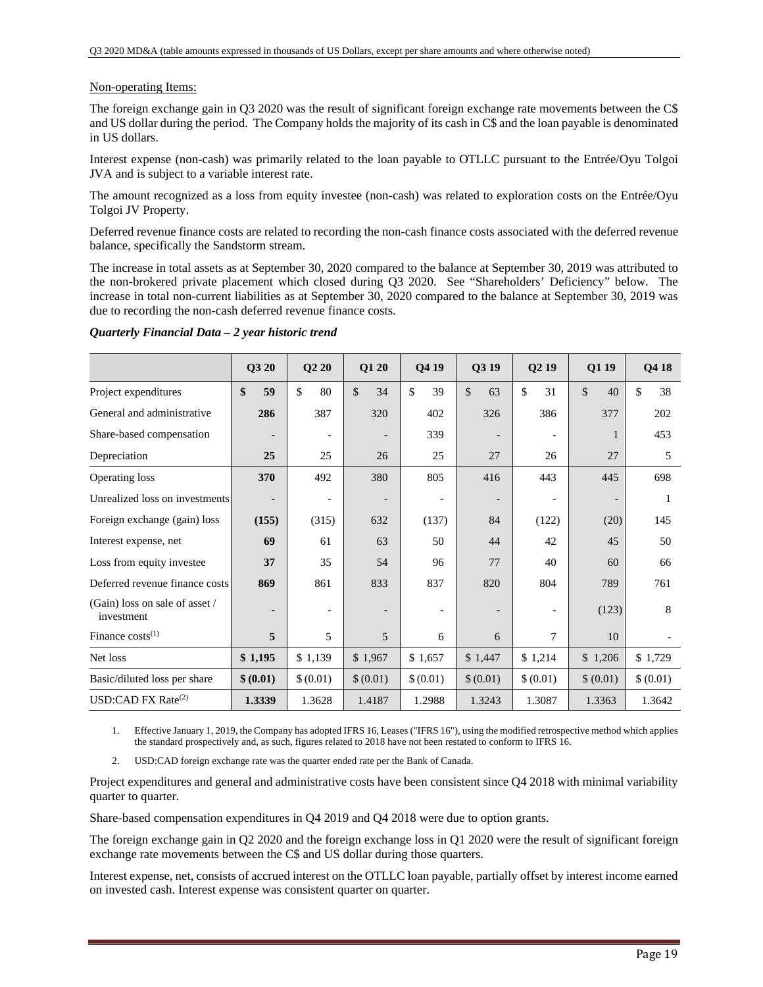### Non-operating Items:

The foreign exchange gain in Q3 2020 was the result of significant foreign exchange rate movements between the C\$ and US dollar during the period. The Company holds the majority of its cash in C\$ and the loan payable is denominated in US dollars.

Interest expense (non-cash) was primarily related to the loan payable to OTLLC pursuant to the Entrée/Oyu Tolgoi JVA and is subject to a variable interest rate.

The amount recognized as a loss from equity investee (non-cash) was related to exploration costs on the Entrée/Oyu Tolgoi JV Property.

Deferred revenue finance costs are related to recording the non-cash finance costs associated with the deferred revenue balance, specifically the Sandstorm stream.

The increase in total assets as at September 30, 2020 compared to the balance at September 30, 2019 was attributed to the non-brokered private placement which closed during Q3 2020. See "Shareholders' Deficiency" below. The increase in total non-current liabilities as at September 30, 2020 compared to the balance at September 30, 2019 was due to recording the non-cash deferred revenue finance costs.

|                                              | Q3 20     | Q <sub>2</sub> 20        | Q1 20               | Q4 19     | Q3 19              | Q219      | Q1 19     | Q4 18     |  |
|----------------------------------------------|-----------|--------------------------|---------------------|-----------|--------------------|-----------|-----------|-----------|--|
| Project expenditures                         | \$<br>59  | \$<br>80                 | $\mathcal{S}$<br>34 | \$<br>39  | $\mathbb{S}$<br>63 | \$<br>31  | \$<br>40  | \$<br>38  |  |
| General and administrative                   | 286       | 387                      | 320                 | 402       | 326                | 386       | 377       | 202       |  |
| Share-based compensation                     |           | $\overline{\phantom{a}}$ |                     | 339       |                    |           | 1         | 453       |  |
| Depreciation                                 | 25        | 25                       | 26                  | 25        | 27                 | 26        | 27        | 5         |  |
| Operating loss                               | 370       | 492                      | 380                 | 805       | 416                | 443       | 445       | 698       |  |
| Unrealized loss on investments               |           | $\overline{\phantom{a}}$ |                     |           |                    |           |           | 1         |  |
| Foreign exchange (gain) loss                 | (155)     | (315)                    | 632                 | (137)     | 84                 | (122)     | (20)      | 145       |  |
| Interest expense, net                        | 69        | 61                       | 63                  | 50        | 44                 | 42        | 45        | 50        |  |
| Loss from equity investee                    | 37        | 35                       | 54                  | 96        | 77                 | 40        | 60        | 66        |  |
| Deferred revenue finance costs               | 869       | 861                      | 833                 | 837       | 820                | 804       | 789       | 761       |  |
| (Gain) loss on sale of asset /<br>investment |           | $\overline{\phantom{a}}$ |                     |           |                    |           | (123)     | 8         |  |
| Finance $costs^{(1)}$                        | 5         | 5                        | 5                   | 6         | 6                  | 7         | 10        |           |  |
| Net loss                                     | \$1,195   | \$1,139                  | \$1,967             | \$1,657   | \$1,447            | \$1,214   | \$1,206   | \$1,729   |  |
| Basic/diluted loss per share                 | \$ (0.01) | \$ (0.01)                | \$(0.01)            | \$ (0.01) | \$(0.01)           | \$ (0.01) | \$ (0.01) | \$ (0.01) |  |
| USD:CAD FX Rate $^{(2)}$                     | 1.3339    | 1.3628                   | 1.4187              | 1.2988    | 1.3243             | 1.3087    | 1.3363    | 1.3642    |  |

*Quarterly Financial Data – 2 year historic trend* 

1. Effective January 1, 2019, the Company has adopted IFRS 16, Leases ("IFRS 16"), using the modified retrospective method which applies the standard prospectively and, as such, figures related to 2018 have not been restated to conform to IFRS 16.

2. USD:CAD foreign exchange rate was the quarter ended rate per the Bank of Canada.

Project expenditures and general and administrative costs have been consistent since Q4 2018 with minimal variability quarter to quarter.

Share-based compensation expenditures in Q4 2019 and Q4 2018 were due to option grants.

The foreign exchange gain in Q2 2020 and the foreign exchange loss in Q1 2020 were the result of significant foreign exchange rate movements between the C\$ and US dollar during those quarters.

Interest expense, net, consists of accrued interest on the OTLLC loan payable, partially offset by interest income earned on invested cash. Interest expense was consistent quarter on quarter.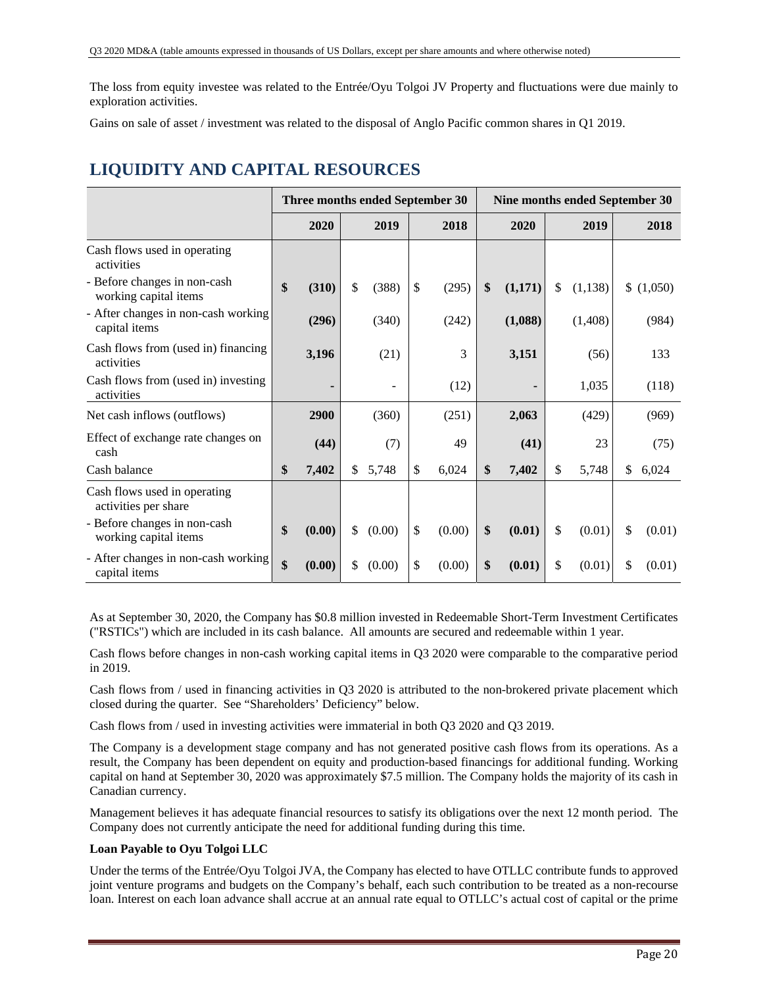The loss from equity investee was related to the Entrée/Oyu Tolgoi JV Property and fluctuations were due mainly to exploration activities.

Gains on sale of asset / investment was related to the disposal of Anglo Pacific common shares in Q1 2019.

# **LIQUIDITY AND CAPITAL RESOURCES**

|                                                       |              |              | Three months ended September 30 | Nine months ended September 30 |         |    |         |    |         |
|-------------------------------------------------------|--------------|--------------|---------------------------------|--------------------------------|---------|----|---------|----|---------|
|                                                       | 2020         | 2019         | 2018                            |                                | 2020    |    | 2019    |    | 2018    |
| Cash flows used in operating<br>activities            |              |              |                                 |                                |         |    |         |    |         |
| - Before changes in non-cash<br>working capital items | \$<br>(310)  | \$<br>(388)  | \$<br>(295)                     | \$                             | (1,171) | \$ | (1,138) | \$ | (1,050) |
| - After changes in non-cash working<br>capital items  | (296)        | (340)        | (242)                           |                                | (1,088) |    | (1,408) |    | (984)   |
| Cash flows from (used in) financing<br>activities     | 3,196        | (21)         | 3                               |                                | 3,151   |    | (56)    |    | 133     |
| Cash flows from (used in) investing<br>activities     |              |              | (12)                            |                                |         |    | 1,035   |    | (118)   |
| Net cash inflows (outflows)                           | 2900         | (360)        | (251)                           |                                | 2,063   |    | (429)   |    | (969)   |
| Effect of exchange rate changes on<br>cash            | (44)         | (7)          | 49                              |                                | (41)    |    | 23      |    | (75)    |
| Cash balance                                          | \$<br>7,402  | \$<br>5,748  | \$<br>6,024                     | \$                             | 7,402   | \$ | 5,748   | \$ | 6,024   |
| Cash flows used in operating<br>activities per share  |              |              |                                 |                                |         |    |         |    |         |
| - Before changes in non-cash<br>working capital items | \$<br>(0.00) | \$<br>(0.00) | \$<br>(0.00)                    | \$                             | (0.01)  | \$ | (0.01)  | \$ | (0.01)  |
| - After changes in non-cash working<br>capital items  | \$<br>(0.00) | \$<br>(0.00) | \$<br>(0.00)                    | \$                             | (0.01)  | \$ | (0.01)  | \$ | (0.01)  |

As at September 30, 2020, the Company has \$0.8 million invested in Redeemable Short-Term Investment Certificates ("RSTICs") which are included in its cash balance. All amounts are secured and redeemable within 1 year.

Cash flows before changes in non-cash working capital items in Q3 2020 were comparable to the comparative period in 2019.

Cash flows from / used in financing activities in Q3 2020 is attributed to the non-brokered private placement which closed during the quarter. See "Shareholders' Deficiency" below.

Cash flows from / used in investing activities were immaterial in both Q3 2020 and Q3 2019.

The Company is a development stage company and has not generated positive cash flows from its operations. As a result, the Company has been dependent on equity and production-based financings for additional funding. Working capital on hand at September 30, 2020 was approximately \$7.5 million. The Company holds the majority of its cash in Canadian currency.

Management believes it has adequate financial resources to satisfy its obligations over the next 12 month period. The Company does not currently anticipate the need for additional funding during this time.

## **Loan Payable to Oyu Tolgoi LLC**

Under the terms of the Entrée/Oyu Tolgoi JVA, the Company has elected to have OTLLC contribute funds to approved joint venture programs and budgets on the Company's behalf, each such contribution to be treated as a non-recourse loan. Interest on each loan advance shall accrue at an annual rate equal to OTLLC's actual cost of capital or the prime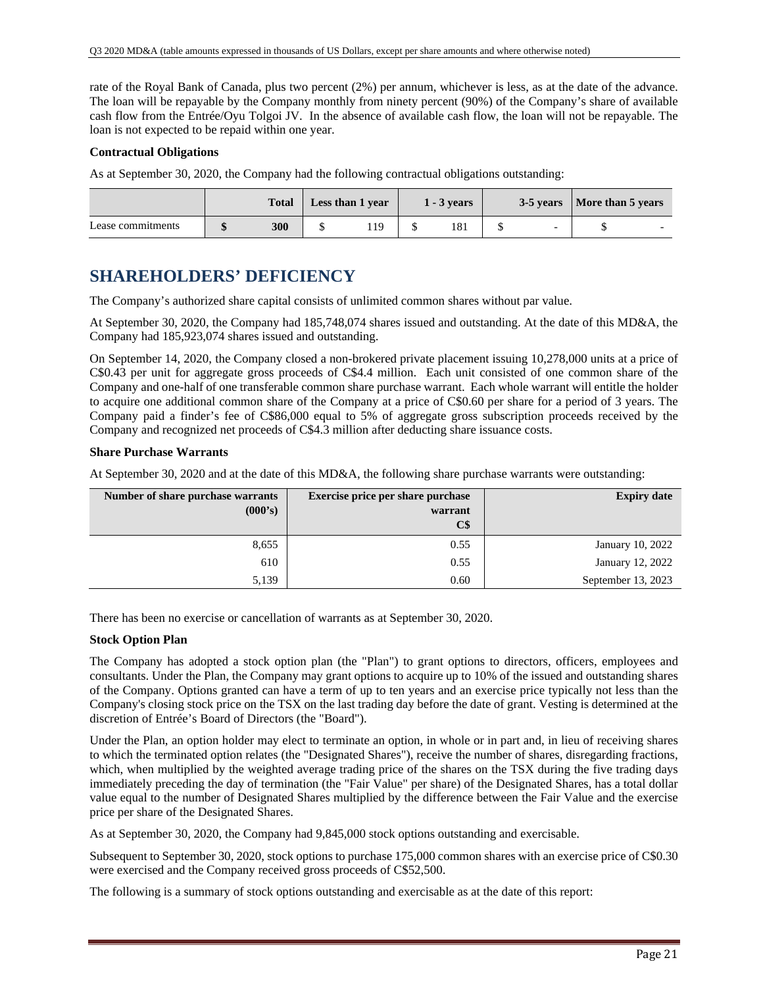rate of the Royal Bank of Canada, plus two percent (2%) per annum, whichever is less, as at the date of the advance. The loan will be repayable by the Company monthly from ninety percent (90%) of the Company's share of available cash flow from the Entrée/Oyu Tolgoi JV. In the absence of available cash flow, the loan will not be repayable. The loan is not expected to be repaid within one year.

### **Contractual Obligations**

As at September 30, 2020, the Company had the following contractual obligations outstanding:

|                   | <b>Total</b> | Less than 1 year | $1 - 3$ years |                          | 3-5 years   More than 5 years |  |
|-------------------|--------------|------------------|---------------|--------------------------|-------------------------------|--|
| Lease commitments | 300          | 119              | 181           | $\overline{\phantom{0}}$ |                               |  |

## **SHAREHOLDERS' DEFICIENCY**

The Company's authorized share capital consists of unlimited common shares without par value.

At September 30, 2020, the Company had 185,748,074 shares issued and outstanding. At the date of this MD&A, the Company had 185,923,074 shares issued and outstanding.

On September 14, 2020, the Company closed a non-brokered private placement issuing 10,278,000 units at a price of C\$0.43 per unit for aggregate gross proceeds of C\$4.4 million. Each unit consisted of one common share of the Company and one-half of one transferable common share purchase warrant. Each whole warrant will entitle the holder to acquire one additional common share of the Company at a price of C\$0.60 per share for a period of 3 years. The Company paid a finder's fee of C\$86,000 equal to 5% of aggregate gross subscription proceeds received by the Company and recognized net proceeds of C\$4.3 million after deducting share issuance costs.

### **Share Purchase Warrants**

At September 30, 2020 and at the date of this MD&A, the following share purchase warrants were outstanding:

| Number of share purchase warrants<br>(000's) | <b>Exercise price per share purchase</b><br>warrant<br>C\$ | <b>Expiry date</b> |
|----------------------------------------------|------------------------------------------------------------|--------------------|
| 8,655                                        | 0.55                                                       | January 10, 2022   |
| 610                                          | 0.55                                                       | January 12, 2022   |
| 5,139                                        | 0.60                                                       | September 13, 2023 |

There has been no exercise or cancellation of warrants as at September 30, 2020.

## **Stock Option Plan**

The Company has adopted a stock option plan (the "Plan") to grant options to directors, officers, employees and consultants. Under the Plan, the Company may grant options to acquire up to 10% of the issued and outstanding shares of the Company. Options granted can have a term of up to ten years and an exercise price typically not less than the Company's closing stock price on the TSX on the last trading day before the date of grant. Vesting is determined at the discretion of Entrée's Board of Directors (the "Board").

Under the Plan, an option holder may elect to terminate an option, in whole or in part and, in lieu of receiving shares to which the terminated option relates (the "Designated Shares"), receive the number of shares, disregarding fractions, which, when multiplied by the weighted average trading price of the shares on the TSX during the five trading days immediately preceding the day of termination (the "Fair Value" per share) of the Designated Shares, has a total dollar value equal to the number of Designated Shares multiplied by the difference between the Fair Value and the exercise price per share of the Designated Shares.

As at September 30, 2020, the Company had 9,845,000 stock options outstanding and exercisable.

Subsequent to September 30, 2020, stock options to purchase 175,000 common shares with an exercise price of C\$0.30 were exercised and the Company received gross proceeds of C\$52,500.

The following is a summary of stock options outstanding and exercisable as at the date of this report: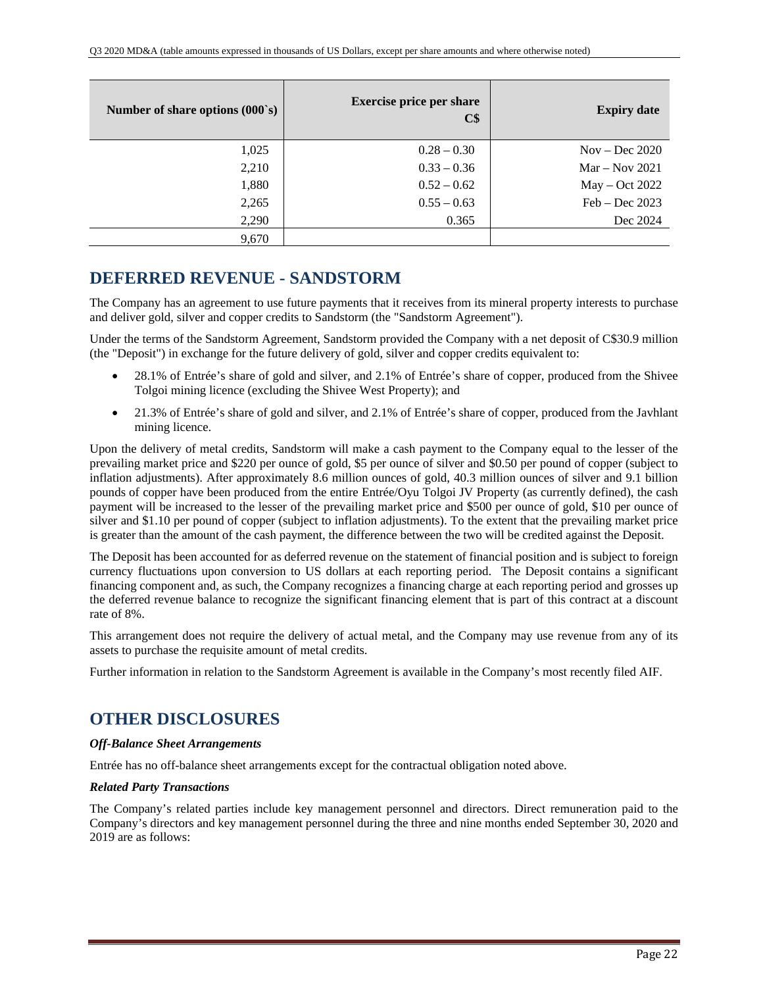| Number of share options $(000 \text{ s})$ | <b>Exercise price per share</b><br>C\$ | <b>Expiry date</b> |
|-------------------------------------------|----------------------------------------|--------------------|
| 1,025                                     | $0.28 - 0.30$                          | $Nov - Dec 2020$   |
| 2,210                                     | $0.33 - 0.36$                          | $Mar - Nov 2021$   |
| 1,880                                     | $0.52 - 0.62$                          | May – Oct 2022     |
| 2,265                                     | $0.55 - 0.63$                          | $Feb - Dec 2023$   |
| 2,290                                     | 0.365                                  | Dec 2024           |
| 9,670                                     |                                        |                    |

## **DEFERRED REVENUE - SANDSTORM**

The Company has an agreement to use future payments that it receives from its mineral property interests to purchase and deliver gold, silver and copper credits to Sandstorm (the "Sandstorm Agreement").

Under the terms of the Sandstorm Agreement, Sandstorm provided the Company with a net deposit of C\$30.9 million (the "Deposit") in exchange for the future delivery of gold, silver and copper credits equivalent to:

- 28.1% of Entrée's share of gold and silver, and 2.1% of Entrée's share of copper, produced from the Shivee Tolgoi mining licence (excluding the Shivee West Property); and
- 21.3% of Entrée's share of gold and silver, and 2.1% of Entrée's share of copper, produced from the Javhlant mining licence.

Upon the delivery of metal credits, Sandstorm will make a cash payment to the Company equal to the lesser of the prevailing market price and \$220 per ounce of gold, \$5 per ounce of silver and \$0.50 per pound of copper (subject to inflation adjustments). After approximately 8.6 million ounces of gold, 40.3 million ounces of silver and 9.1 billion pounds of copper have been produced from the entire Entrée/Oyu Tolgoi JV Property (as currently defined), the cash payment will be increased to the lesser of the prevailing market price and \$500 per ounce of gold, \$10 per ounce of silver and \$1.10 per pound of copper (subject to inflation adjustments). To the extent that the prevailing market price is greater than the amount of the cash payment, the difference between the two will be credited against the Deposit.

The Deposit has been accounted for as deferred revenue on the statement of financial position and is subject to foreign currency fluctuations upon conversion to US dollars at each reporting period. The Deposit contains a significant financing component and, as such, the Company recognizes a financing charge at each reporting period and grosses up the deferred revenue balance to recognize the significant financing element that is part of this contract at a discount rate of 8%.

This arrangement does not require the delivery of actual metal, and the Company may use revenue from any of its assets to purchase the requisite amount of metal credits.

Further information in relation to the Sandstorm Agreement is available in the Company's most recently filed AIF.

# **OTHER DISCLOSURES**

## *Off-Balance Sheet Arrangements*

Entrée has no off-balance sheet arrangements except for the contractual obligation noted above.

## *Related Party Transactions*

The Company's related parties include key management personnel and directors. Direct remuneration paid to the Company's directors and key management personnel during the three and nine months ended September 30, 2020 and 2019 are as follows: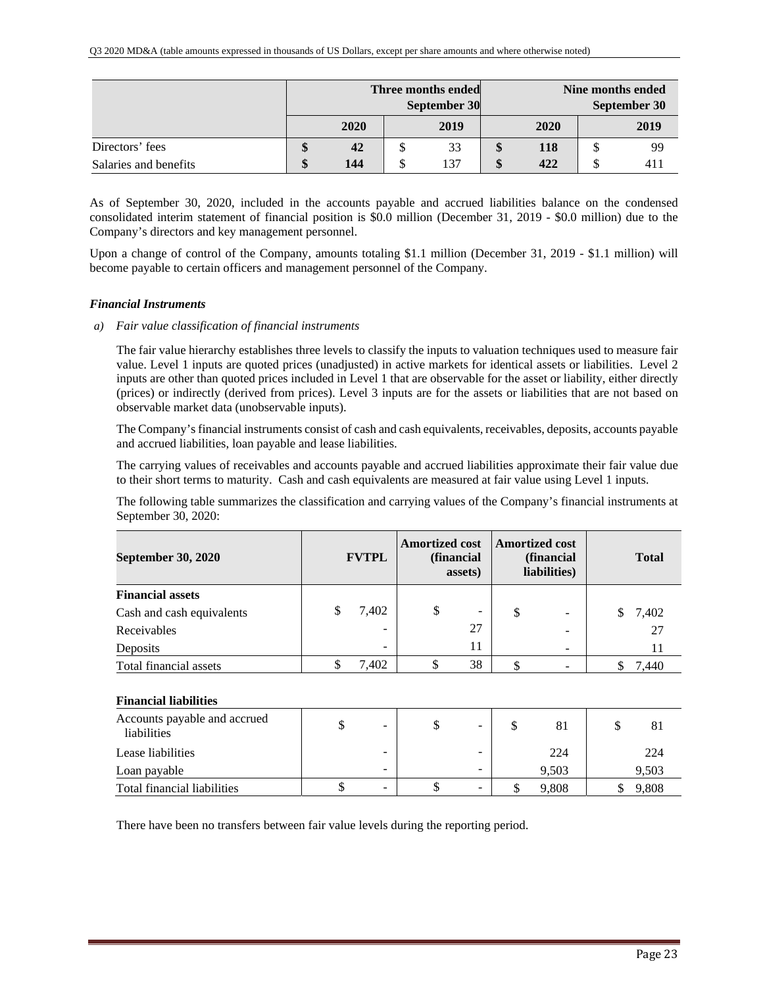|                       | Three months ended<br>September 30<br>2019<br>2020 |     |  |     |    |      | Nine months ended<br>September 30 |      |  |  |  |
|-----------------------|----------------------------------------------------|-----|--|-----|----|------|-----------------------------------|------|--|--|--|
|                       |                                                    |     |  |     |    | 2020 |                                   | 2019 |  |  |  |
| Directors' fees       | ¢<br>D                                             | 42  |  | 33  | ง  | 118  |                                   | 99   |  |  |  |
| Salaries and benefits | \$                                                 | 144 |  | 137 | \$ | 422  |                                   | 411  |  |  |  |

As of September 30, 2020, included in the accounts payable and accrued liabilities balance on the condensed consolidated interim statement of financial position is \$0.0 million (December 31, 2019 - \$0.0 million) due to the Company's directors and key management personnel.

Upon a change of control of the Company, amounts totaling \$1.1 million (December 31, 2019 - \$1.1 million) will become payable to certain officers and management personnel of the Company.

## *Financial Instruments*

#### *a) Fair value classification of financial instruments*

The fair value hierarchy establishes three levels to classify the inputs to valuation techniques used to measure fair value. Level 1 inputs are quoted prices (unadjusted) in active markets for identical assets or liabilities. Level 2 inputs are other than quoted prices included in Level 1 that are observable for the asset or liability, either directly (prices) or indirectly (derived from prices). Level 3 inputs are for the assets or liabilities that are not based on observable market data (unobservable inputs).

The Company's financial instruments consist of cash and cash equivalents, receivables, deposits, accounts payable and accrued liabilities, loan payable and lease liabilities.

The carrying values of receivables and accounts payable and accrued liabilities approximate their fair value due to their short terms to maturity. Cash and cash equivalents are measured at fair value using Level 1 inputs.

The following table summarizes the classification and carrying values of the Company's financial instruments at September 30, 2020:

| <b>September 30, 2020</b>                   | <b>FVTPL</b> |       | <b>Amortized cost</b><br>(financial<br>assets) |                 | <b>Amortized cost</b><br>(financial<br>liabilities) | <b>Total</b> |       |  |
|---------------------------------------------|--------------|-------|------------------------------------------------|-----------------|-----------------------------------------------------|--------------|-------|--|
| <b>Financial assets</b>                     |              |       |                                                |                 |                                                     |              |       |  |
| Cash and cash equivalents                   | \$           | 7,402 | \$                                             | $\qquad \qquad$ | \$                                                  | \$           | 7,402 |  |
| Receivables                                 |              |       |                                                | 27              |                                                     |              | 27    |  |
| Deposits                                    |              |       |                                                | 11              |                                                     |              | 11    |  |
| Total financial assets                      | \$           | 7,402 | \$                                             | 38              | \$                                                  | \$.          | 7,440 |  |
| <b>Financial liabilities</b>                |              |       |                                                |                 |                                                     |              |       |  |
| Accounts payable and accrued<br>liabilities | \$           |       | \$                                             |                 | \$<br>81                                            | \$           | 81    |  |
| Lease liabilities                           |              |       |                                                |                 | 224                                                 |              | 224   |  |

Loan payable  $\qquad \qquad$  -  $\qquad \qquad$  9,503 9,503 Total financial liabilities <br>  $\begin{array}{ccc} \text{3} & - & \text{4} & \text{5} & - & \text{5} & \text{9,808} \\ \text{5} & \text{9,808} & \text{1} & \text{5} & \text{9,808} \\ \end{array}$ 

There have been no transfers between fair value levels during the reporting period.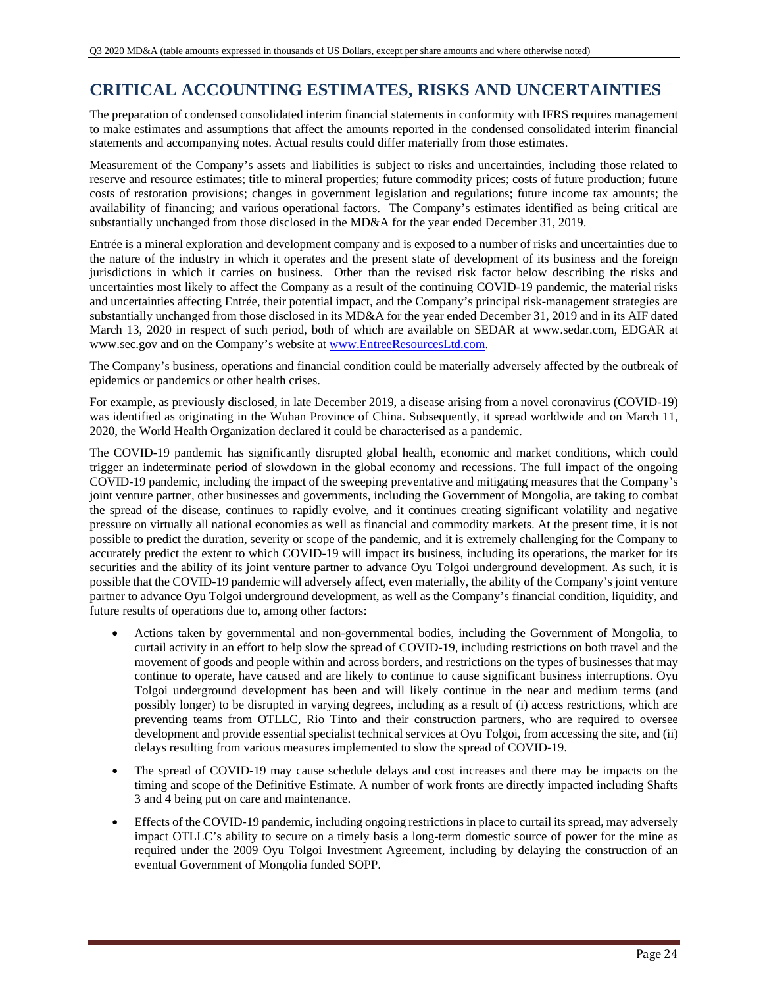# **CRITICAL ACCOUNTING ESTIMATES, RISKS AND UNCERTAINTIES**

The preparation of condensed consolidated interim financial statements in conformity with IFRS requires management to make estimates and assumptions that affect the amounts reported in the condensed consolidated interim financial statements and accompanying notes. Actual results could differ materially from those estimates.

Measurement of the Company's assets and liabilities is subject to risks and uncertainties, including those related to reserve and resource estimates; title to mineral properties; future commodity prices; costs of future production; future costs of restoration provisions; changes in government legislation and regulations; future income tax amounts; the availability of financing; and various operational factors. The Company's estimates identified as being critical are substantially unchanged from those disclosed in the MD&A for the year ended December 31, 2019.

Entrée is a mineral exploration and development company and is exposed to a number of risks and uncertainties due to the nature of the industry in which it operates and the present state of development of its business and the foreign jurisdictions in which it carries on business. Other than the revised risk factor below describing the risks and uncertainties most likely to affect the Company as a result of the continuing COVID-19 pandemic, the material risks and uncertainties affecting Entrée, their potential impact, and the Company's principal risk-management strategies are substantially unchanged from those disclosed in its MD&A for the year ended December 31, 2019 and in its AIF dated March 13, 2020 in respect of such period, both of which are available on SEDAR at www.sedar.com, EDGAR at www.sec.gov and on the Company's website at www.EntreeResourcesLtd.com.

The Company's business, operations and financial condition could be materially adversely affected by the outbreak of epidemics or pandemics or other health crises.

For example, as previously disclosed, in late December 2019, a disease arising from a novel coronavirus (COVID-19) was identified as originating in the Wuhan Province of China. Subsequently, it spread worldwide and on March 11, 2020, the World Health Organization declared it could be characterised as a pandemic.

The COVID-19 pandemic has significantly disrupted global health, economic and market conditions, which could trigger an indeterminate period of slowdown in the global economy and recessions. The full impact of the ongoing COVID-19 pandemic, including the impact of the sweeping preventative and mitigating measures that the Company's joint venture partner, other businesses and governments, including the Government of Mongolia, are taking to combat the spread of the disease, continues to rapidly evolve, and it continues creating significant volatility and negative pressure on virtually all national economies as well as financial and commodity markets. At the present time, it is not possible to predict the duration, severity or scope of the pandemic, and it is extremely challenging for the Company to accurately predict the extent to which COVID-19 will impact its business, including its operations, the market for its securities and the ability of its joint venture partner to advance Oyu Tolgoi underground development. As such, it is possible that the COVID-19 pandemic will adversely affect, even materially, the ability of the Company's joint venture partner to advance Oyu Tolgoi underground development, as well as the Company's financial condition, liquidity, and future results of operations due to, among other factors:

- Actions taken by governmental and non-governmental bodies, including the Government of Mongolia, to curtail activity in an effort to help slow the spread of COVID-19, including restrictions on both travel and the movement of goods and people within and across borders, and restrictions on the types of businesses that may continue to operate, have caused and are likely to continue to cause significant business interruptions. Oyu Tolgoi underground development has been and will likely continue in the near and medium terms (and possibly longer) to be disrupted in varying degrees, including as a result of (i) access restrictions, which are preventing teams from OTLLC, Rio Tinto and their construction partners, who are required to oversee development and provide essential specialist technical services at Oyu Tolgoi, from accessing the site, and (ii) delays resulting from various measures implemented to slow the spread of COVID-19.
- The spread of COVID-19 may cause schedule delays and cost increases and there may be impacts on the timing and scope of the Definitive Estimate. A number of work fronts are directly impacted including Shafts 3 and 4 being put on care and maintenance.
- Effects of the COVID-19 pandemic, including ongoing restrictions in place to curtail its spread, may adversely impact OTLLC's ability to secure on a timely basis a long-term domestic source of power for the mine as required under the 2009 Oyu Tolgoi Investment Agreement, including by delaying the construction of an eventual Government of Mongolia funded SOPP.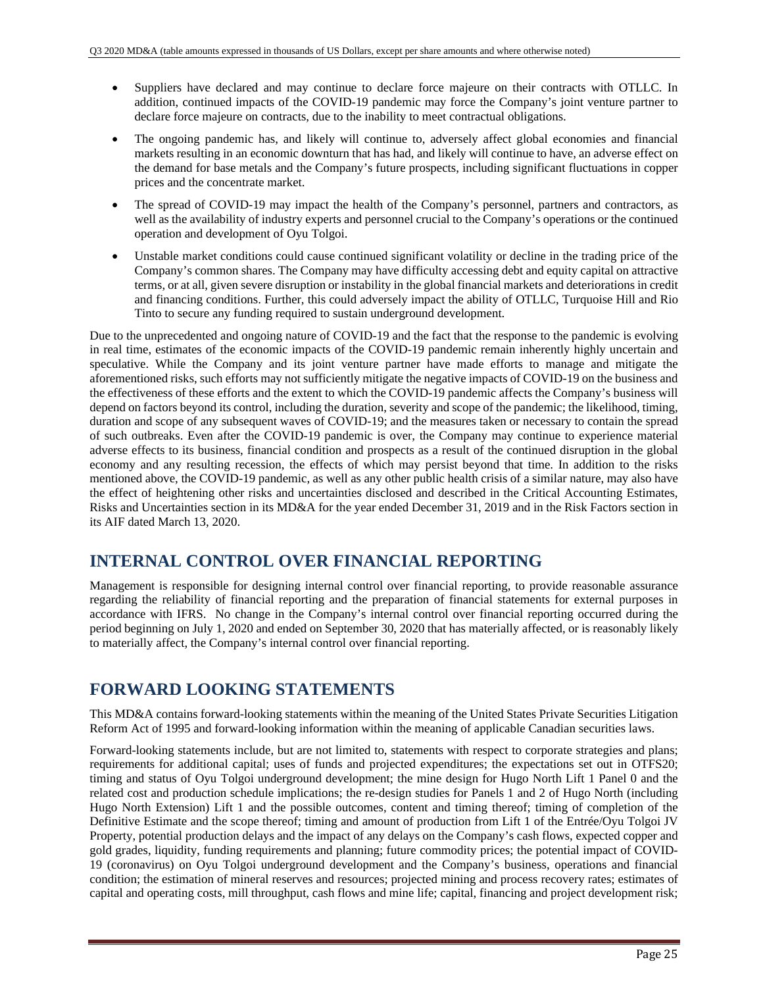- Suppliers have declared and may continue to declare force majeure on their contracts with OTLLC. In addition, continued impacts of the COVID-19 pandemic may force the Company's joint venture partner to declare force majeure on contracts, due to the inability to meet contractual obligations.
- The ongoing pandemic has, and likely will continue to, adversely affect global economies and financial markets resulting in an economic downturn that has had, and likely will continue to have, an adverse effect on the demand for base metals and the Company's future prospects, including significant fluctuations in copper prices and the concentrate market.
- The spread of COVID-19 may impact the health of the Company's personnel, partners and contractors, as well as the availability of industry experts and personnel crucial to the Company's operations or the continued operation and development of Oyu Tolgoi.
- Unstable market conditions could cause continued significant volatility or decline in the trading price of the Company's common shares. The Company may have difficulty accessing debt and equity capital on attractive terms, or at all, given severe disruption or instability in the global financial markets and deteriorations in credit and financing conditions. Further, this could adversely impact the ability of OTLLC, Turquoise Hill and Rio Tinto to secure any funding required to sustain underground development.

Due to the unprecedented and ongoing nature of COVID-19 and the fact that the response to the pandemic is evolving in real time, estimates of the economic impacts of the COVID-19 pandemic remain inherently highly uncertain and speculative. While the Company and its joint venture partner have made efforts to manage and mitigate the aforementioned risks, such efforts may not sufficiently mitigate the negative impacts of COVID-19 on the business and the effectiveness of these efforts and the extent to which the COVID-19 pandemic affects the Company's business will depend on factors beyond its control, including the duration, severity and scope of the pandemic; the likelihood, timing, duration and scope of any subsequent waves of COVID-19; and the measures taken or necessary to contain the spread of such outbreaks. Even after the COVID-19 pandemic is over, the Company may continue to experience material adverse effects to its business, financial condition and prospects as a result of the continued disruption in the global economy and any resulting recession, the effects of which may persist beyond that time. In addition to the risks mentioned above, the COVID-19 pandemic, as well as any other public health crisis of a similar nature, may also have the effect of heightening other risks and uncertainties disclosed and described in the Critical Accounting Estimates, Risks and Uncertainties section in its MD&A for the year ended December 31, 2019 and in the Risk Factors section in its AIF dated March 13, 2020.

# **INTERNAL CONTROL OVER FINANCIAL REPORTING**

Management is responsible for designing internal control over financial reporting, to provide reasonable assurance regarding the reliability of financial reporting and the preparation of financial statements for external purposes in accordance with IFRS. No change in the Company's internal control over financial reporting occurred during the period beginning on July 1, 2020 and ended on September 30, 2020 that has materially affected, or is reasonably likely to materially affect, the Company's internal control over financial reporting.

## **FORWARD LOOKING STATEMENTS**

This MD&A contains forward-looking statements within the meaning of the United States Private Securities Litigation Reform Act of 1995 and forward-looking information within the meaning of applicable Canadian securities laws.

Forward-looking statements include, but are not limited to, statements with respect to corporate strategies and plans; requirements for additional capital; uses of funds and projected expenditures; the expectations set out in OTFS20; timing and status of Oyu Tolgoi underground development; the mine design for Hugo North Lift 1 Panel 0 and the related cost and production schedule implications; the re-design studies for Panels 1 and 2 of Hugo North (including Hugo North Extension) Lift 1 and the possible outcomes, content and timing thereof; timing of completion of the Definitive Estimate and the scope thereof; timing and amount of production from Lift 1 of the Entrée/Oyu Tolgoi JV Property, potential production delays and the impact of any delays on the Company's cash flows, expected copper and gold grades, liquidity, funding requirements and planning; future commodity prices; the potential impact of COVID-19 (coronavirus) on Oyu Tolgoi underground development and the Company's business, operations and financial condition; the estimation of mineral reserves and resources; projected mining and process recovery rates; estimates of capital and operating costs, mill throughput, cash flows and mine life; capital, financing and project development risk;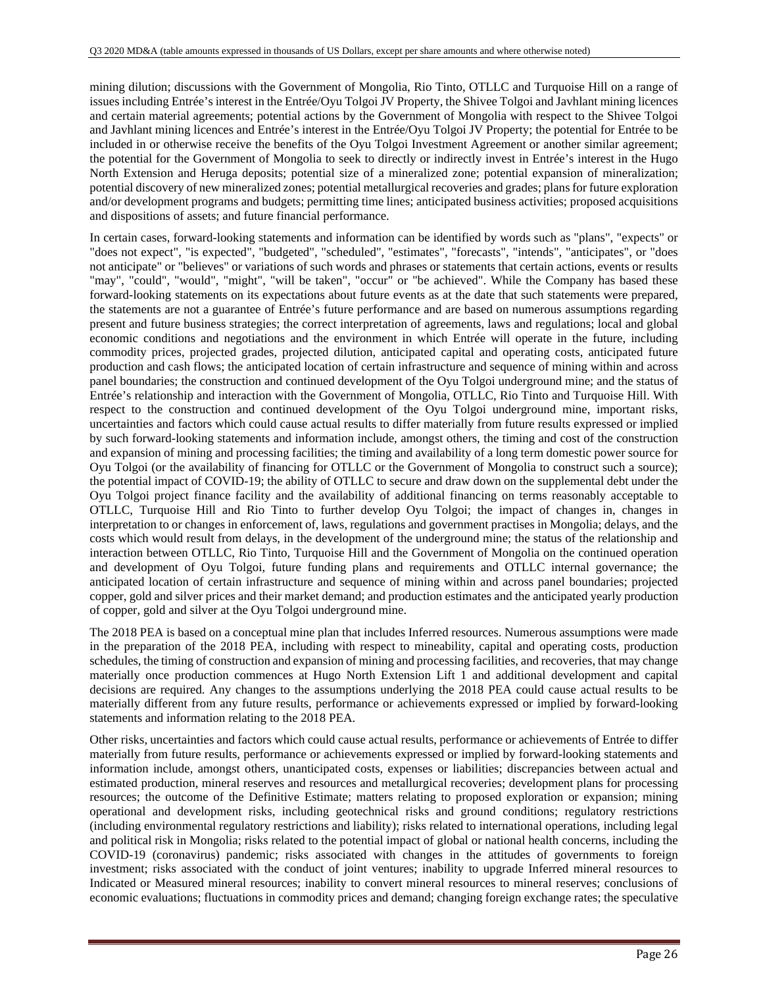mining dilution; discussions with the Government of Mongolia, Rio Tinto, OTLLC and Turquoise Hill on a range of issues including Entrée's interest in the Entrée/Oyu Tolgoi JV Property, the Shivee Tolgoi and Javhlant mining licences and certain material agreements; potential actions by the Government of Mongolia with respect to the Shivee Tolgoi and Javhlant mining licences and Entrée's interest in the Entrée/Oyu Tolgoi JV Property; the potential for Entrée to be included in or otherwise receive the benefits of the Oyu Tolgoi Investment Agreement or another similar agreement; the potential for the Government of Mongolia to seek to directly or indirectly invest in Entrée's interest in the Hugo North Extension and Heruga deposits; potential size of a mineralized zone; potential expansion of mineralization; potential discovery of new mineralized zones; potential metallurgical recoveries and grades; plans for future exploration and/or development programs and budgets; permitting time lines; anticipated business activities; proposed acquisitions and dispositions of assets; and future financial performance.

In certain cases, forward-looking statements and information can be identified by words such as "plans", "expects" or "does not expect", "is expected", "budgeted", "scheduled", "estimates", "forecasts", "intends", "anticipates", or "does not anticipate" or "believes" or variations of such words and phrases or statements that certain actions, events or results "may", "could", "would", "might", "will be taken", "occur" or "be achieved". While the Company has based these forward-looking statements on its expectations about future events as at the date that such statements were prepared, the statements are not a guarantee of Entrée's future performance and are based on numerous assumptions regarding present and future business strategies; the correct interpretation of agreements, laws and regulations; local and global economic conditions and negotiations and the environment in which Entrée will operate in the future, including commodity prices, projected grades, projected dilution, anticipated capital and operating costs, anticipated future production and cash flows; the anticipated location of certain infrastructure and sequence of mining within and across panel boundaries; the construction and continued development of the Oyu Tolgoi underground mine; and the status of Entrée's relationship and interaction with the Government of Mongolia, OTLLC, Rio Tinto and Turquoise Hill. With respect to the construction and continued development of the Oyu Tolgoi underground mine, important risks, uncertainties and factors which could cause actual results to differ materially from future results expressed or implied by such forward-looking statements and information include, amongst others, the timing and cost of the construction and expansion of mining and processing facilities; the timing and availability of a long term domestic power source for Oyu Tolgoi (or the availability of financing for OTLLC or the Government of Mongolia to construct such a source); the potential impact of COVID-19; the ability of OTLLC to secure and draw down on the supplemental debt under the Oyu Tolgoi project finance facility and the availability of additional financing on terms reasonably acceptable to OTLLC, Turquoise Hill and Rio Tinto to further develop Oyu Tolgoi; the impact of changes in, changes in interpretation to or changes in enforcement of, laws, regulations and government practises in Mongolia; delays, and the costs which would result from delays, in the development of the underground mine; the status of the relationship and interaction between OTLLC, Rio Tinto, Turquoise Hill and the Government of Mongolia on the continued operation and development of Oyu Tolgoi, future funding plans and requirements and OTLLC internal governance; the anticipated location of certain infrastructure and sequence of mining within and across panel boundaries; projected copper, gold and silver prices and their market demand; and production estimates and the anticipated yearly production of copper, gold and silver at the Oyu Tolgoi underground mine.

The 2018 PEA is based on a conceptual mine plan that includes Inferred resources. Numerous assumptions were made in the preparation of the 2018 PEA, including with respect to mineability, capital and operating costs, production schedules, the timing of construction and expansion of mining and processing facilities, and recoveries, that may change materially once production commences at Hugo North Extension Lift 1 and additional development and capital decisions are required. Any changes to the assumptions underlying the 2018 PEA could cause actual results to be materially different from any future results, performance or achievements expressed or implied by forward-looking statements and information relating to the 2018 PEA.

Other risks, uncertainties and factors which could cause actual results, performance or achievements of Entrée to differ materially from future results, performance or achievements expressed or implied by forward-looking statements and information include, amongst others, unanticipated costs, expenses or liabilities; discrepancies between actual and estimated production, mineral reserves and resources and metallurgical recoveries; development plans for processing resources; the outcome of the Definitive Estimate; matters relating to proposed exploration or expansion; mining operational and development risks, including geotechnical risks and ground conditions; regulatory restrictions (including environmental regulatory restrictions and liability); risks related to international operations, including legal and political risk in Mongolia; risks related to the potential impact of global or national health concerns, including the COVID-19 (coronavirus) pandemic; risks associated with changes in the attitudes of governments to foreign investment; risks associated with the conduct of joint ventures; inability to upgrade Inferred mineral resources to Indicated or Measured mineral resources; inability to convert mineral resources to mineral reserves; conclusions of economic evaluations; fluctuations in commodity prices and demand; changing foreign exchange rates; the speculative